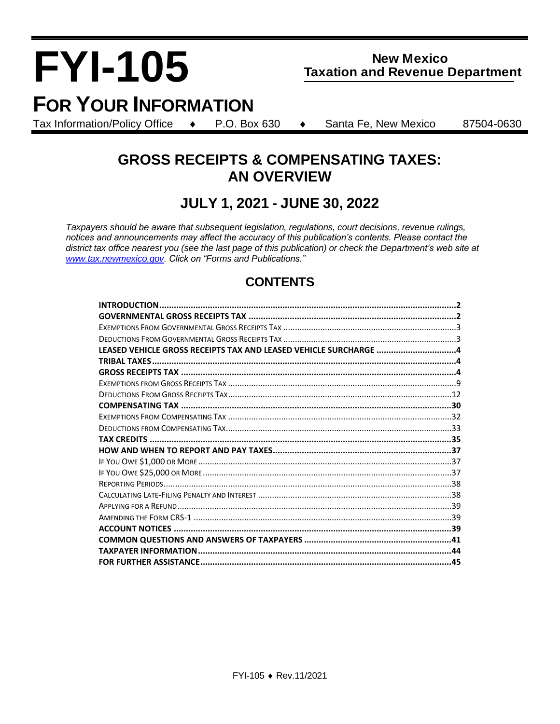# **FYI-105**

## **New Mexico Taxation and Revenue Department**

## **FOR YOUR INFORMATION**

Tax Information/Policy Office  $\leftrightarrow$  P.O. Box 630  $\leftrightarrow$  Santa Fe, New Mexico 87504-0630

## **GROSS RECEIPTS & COMPENSATING TAXES: AN OVERVIEW**

## **JULY 1, 2021 - JUNE 30, 2022**

*Taxpayers should be aware that subsequent legislation, regulations, court decisions, revenue rulings, notices and announcements may affect the accuracy of this publication's contents. Please contact the district tax office nearest you (see the last page of this publication) or check the Department's web site at www.tax.newmexico.gov. Click on "Forms and Publications."*

## **CONTENTS**

| LEASED VEHICLE GROSS RECEIPTS TAX AND LEASED VEHICLE SURCHARGE 4 |  |
|------------------------------------------------------------------|--|
|                                                                  |  |
|                                                                  |  |
|                                                                  |  |
|                                                                  |  |
|                                                                  |  |
|                                                                  |  |
|                                                                  |  |
|                                                                  |  |
|                                                                  |  |
|                                                                  |  |
|                                                                  |  |
|                                                                  |  |
|                                                                  |  |
|                                                                  |  |
|                                                                  |  |
|                                                                  |  |
|                                                                  |  |
|                                                                  |  |
|                                                                  |  |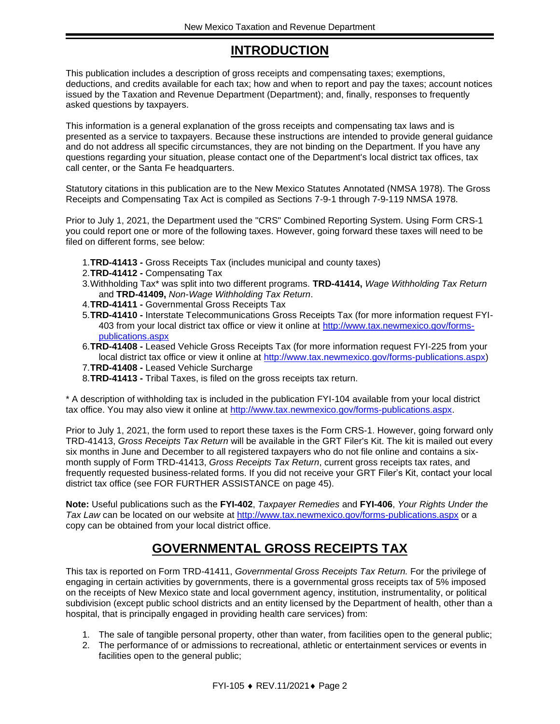## **INTRODUCTION**

<span id="page-1-0"></span>This publication includes a description of gross receipts and compensating taxes; exemptions, deductions, and credits available for each tax; how and when to report and pay the taxes; account notices issued by the Taxation and Revenue Department (Department); and, finally, responses to frequently asked questions by taxpayers.

This information is a general explanation of the gross receipts and compensating tax laws and is presented as a service to taxpayers. Because these instructions are intended to provide general guidance and do not address all specific circumstances, they are not binding on the Department. If you have any questions regarding your situation, please contact one of the Department's local district tax offices, tax call center, or the Santa Fe headquarters.

Statutory citations in this publication are to the New Mexico Statutes Annotated (NMSA 1978). The Gross Receipts and Compensating Tax Act is compiled as Sections 7-9-1 through 7-9-119 NMSA 1978.

Prior to July 1, 2021, the Department used the "CRS" Combined Reporting System. Using Form CRS-1 you could report one or more of the following taxes. However, going forward these taxes will need to be filed on different forms, see below:

- 1.**TRD-41413 -** Gross Receipts Tax (includes municipal and county taxes)
- 2.**TRD-41412 -** Compensating Tax
- 3.Withholding Tax\* was split into two different programs. **TRD-41414,** *Wage Withholding Tax Return* and **TRD-41409,** *Non-Wage Withholding Tax Return*.
- 4.**TRD-41411 -** Governmental Gross Receipts Tax
- 5.**TRD-41410 -** Interstate Telecommunications Gross Receipts Tax (for more information request FYI-403 from your local district tax office or view it online at http://www.tax.newmexico.gov/formspublications.aspx
- 6.**TRD-41408 -** Leased Vehicle Gross Receipts Tax (for more information request FYI-225 from your local district tax office or view it online at http://www.tax.newmexico.gov/forms-publications.aspx)
- 7.**TRD-41408 -** Leased Vehicle Surcharge
- 8.**TRD-41413 -** Tribal Taxes, is filed on the gross receipts tax return.

\* A description of withholding tax is included in the publication FYI-104 available from your local district tax office. You may also view it online at http://www.tax.newmexico.gov/forms-publications.aspx.

Prior to July 1, 2021, the form used to report these taxes is the Form CRS-1. However, going forward only TRD-41413, *Gross Receipts Tax Return* will be available in the GRT Filer's Kit. The kit is mailed out every six months in June and December to all registered taxpayers who do not file online and contains a sixmonth supply of Form TRD-41413, *Gross Receipts Tax Return*, current gross receipts tax rates, and frequently requested business-related forms. If you did not receive your GRT Filer's Kit, contact your local district tax office (see FOR FURTHER ASSISTANCE on page [45\)](#page-44-0).

**Note:** Useful publications such as the **FYI-402**, *Taxpayer Remedies* and **FYI-406**, *Your Rights Under the Tax Law* can be located on our website at<http://www.tax.newmexico.gov/forms-publications.aspx> or a copy can be obtained from your local district office.

## **GOVERNMENTAL GROSS RECEIPTS TAX**

<span id="page-1-1"></span>This tax is reported on Form TRD-41411, *Governmental Gross Receipts Tax Return.* For the privilege of engaging in certain activities by governments, there is a governmental gross receipts tax of 5% imposed on the receipts of New Mexico state and local government agency, institution, instrumentality, or political subdivision (except public school districts and an entity licensed by the Department of health, other than a hospital, that is principally engaged in providing health care services) from:

- 1. The sale of tangible personal property, other than water, from facilities open to the general public;
- 2. The performance of or admissions to recreational, athletic or entertainment services or events in facilities open to the general public;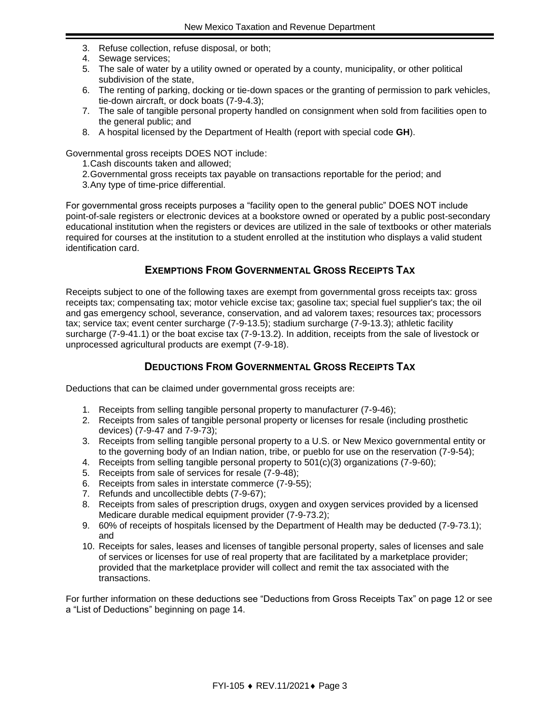- 3. Refuse collection, refuse disposal, or both;
- 4. Sewage services;
- 5. The sale of water by a utility owned or operated by a county, municipality, or other political subdivision of the state,
- 6. The renting of parking, docking or tie-down spaces or the granting of permission to park vehicles, tie-down aircraft, or dock boats (7-9-4.3);
- 7. The sale of tangible personal property handled on consignment when sold from facilities open to the general public; and
- 8. A hospital licensed by the Department of Health (report with special code **GH**).

Governmental gross receipts DOES NOT include:

- 1.Cash discounts taken and allowed;
- 2.Governmental gross receipts tax payable on transactions reportable for the period; and 3.Any type of time-price differential.
- 

For governmental gross receipts purposes a "facility open to the general public" DOES NOT include point-of-sale registers or electronic devices at a bookstore owned or operated by a public post-secondary educational institution when the registers or devices are utilized in the sale of textbooks or other materials required for courses at the institution to a student enrolled at the institution who displays a valid student identification card.

#### **EXEMPTIONS FROM GOVERNMENTAL GROSS RECEIPTS TAX**

<span id="page-2-0"></span>Receipts subject to one of the following taxes are exempt from governmental gross receipts tax: gross receipts tax; compensating tax; motor vehicle excise tax; gasoline tax; special fuel supplier's tax; the oil and gas emergency school, severance, conservation, and ad valorem taxes; resources tax; processors tax; service tax; event center surcharge (7-9-13.5); stadium surcharge (7-9-13.3); athletic facility surcharge (7-9-41.1) or the boat excise tax (7-9-13.2). In addition, receipts from the sale of livestock or unprocessed agricultural products are exempt (7-9-18).

#### **DEDUCTIONS FROM GOVERNMENTAL GROSS RECEIPTS TAX**

<span id="page-2-1"></span>Deductions that can be claimed under governmental gross receipts are:

- 1. Receipts from selling tangible personal property to manufacturer (7-9-46);
- 2. Receipts from sales of tangible personal property or licenses for resale (including prosthetic devices) (7-9-47 and 7-9-73);
- 3. Receipts from selling tangible personal property to a U.S. or New Mexico governmental entity or to the governing body of an Indian nation, tribe, or pueblo for use on the reservation (7-9-54);
- 4. Receipts from selling tangible personal property to 501(c)(3) organizations (7-9-60);
- 5. Receipts from sale of services for resale (7-9-48);
- 6. Receipts from sales in interstate commerce (7-9-55);
- 7. Refunds and uncollectible debts (7-9-67);
- 8. Receipts from sales of prescription drugs, oxygen and oxygen services provided by a licensed Medicare durable medical equipment provider (7-9-73.2);
- 9. 60% of receipts of hospitals licensed by the Department of Health may be deducted (7-9-73.1); and
- 10. Receipts for sales, leases and licenses of tangible personal property, sales of licenses and sale of services or licenses for use of real property that are facilitated by a marketplace provider; provided that the marketplace provider will collect and remit the tax associated with the transactions.

For further information on these deductions see "Deductions from Gross Receipts Tax" on page [12](#page-11-0) or see a "List of Deductions" beginning on page [14.](#page-13-0)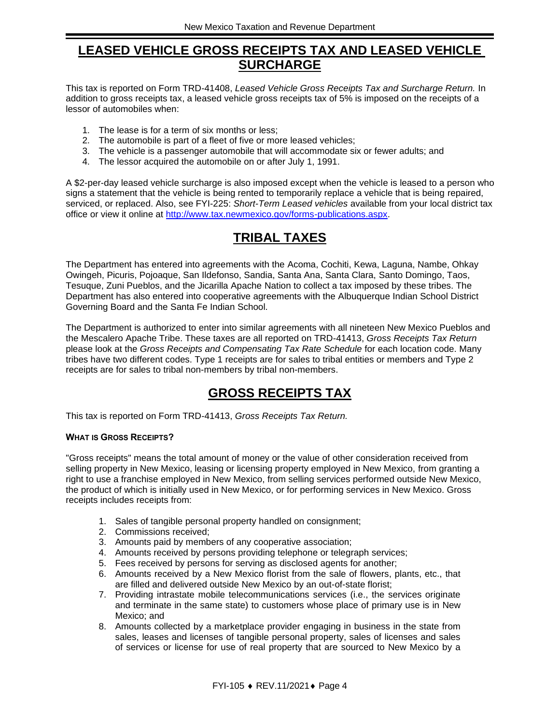## <span id="page-3-0"></span>**LEASED VEHICLE GROSS RECEIPTS TAX AND LEASED VEHICLE SURCHARGE**

This tax is reported on Form TRD-41408, *Leased Vehicle Gross Receipts Tax and Surcharge Return.* In addition to gross receipts tax, a leased vehicle gross receipts tax of 5% is imposed on the receipts of a lessor of automobiles when:

- 1. The lease is for a term of six months or less;
- 2. The automobile is part of a fleet of five or more leased vehicles;
- 3. The vehicle is a passenger automobile that will accommodate six or fewer adults; and
- 4. The lessor acquired the automobile on or after July 1, 1991.

A \$2-per-day leased vehicle surcharge is also imposed except when the vehicle is leased to a person who signs a statement that the vehicle is being rented to temporarily replace a vehicle that is being repaired, serviced, or replaced. Also, see FYI-225: *Short-Term Leased vehicles* available from your local district tax office or view it online at [http://www.tax.newmexico.gov/forms-publications.aspx.](http://www.tax.newmexico.gov/forms-publications.aspx)

## **TRIBAL TAXES**

<span id="page-3-1"></span>The Department has entered into agreements with the Acoma, Cochiti, Kewa, Laguna, Nambe, Ohkay Owingeh, Picuris, Pojoaque, San Ildefonso, Sandia, Santa Ana, Santa Clara, Santo Domingo, Taos, Tesuque, Zuni Pueblos, and the Jicarilla Apache Nation to collect a tax imposed by these tribes. The Department has also entered into cooperative agreements with the Albuquerque Indian School District Governing Board and the Santa Fe Indian School.

The Department is authorized to enter into similar agreements with all nineteen New Mexico Pueblos and the Mescalero Apache Tribe. These taxes are all reported on TRD-41413, *Gross Receipts Tax Return* please look at the *Gross Receipts and Compensating Tax Rate Schedule* for each location code. Many tribes have two different codes. Type 1 receipts are for sales to tribal entities or members and Type 2 receipts are for sales to tribal non-members by tribal non-members.

## **GROSS RECEIPTS TAX**

<span id="page-3-2"></span>This tax is reported on Form TRD-41413, *Gross Receipts Tax Return.*

#### **WHAT IS GROSS RECEIPTS?**

"Gross receipts" means the total amount of money or the value of other consideration received from selling property in New Mexico, leasing or licensing property employed in New Mexico, from granting a right to use a franchise employed in New Mexico, from selling services performed outside New Mexico, the product of which is initially used in New Mexico, or for performing services in New Mexico. Gross receipts includes receipts from:

- 1. Sales of tangible personal property handled on consignment;
- 2. Commissions received;
- 3. Amounts paid by members of any cooperative association;
- 4. Amounts received by persons providing telephone or telegraph services;
- 5. Fees received by persons for serving as disclosed agents for another;
- 6. Amounts received by a New Mexico florist from the sale of flowers, plants, etc., that are filled and delivered outside New Mexico by an out-of-state florist;
- 7. Providing intrastate mobile telecommunications services (i.e., the services originate and terminate in the same state) to customers whose place of primary use is in New Mexico; and
- 8. Amounts collected by a marketplace provider engaging in business in the state from sales, leases and licenses of tangible personal property, sales of licenses and sales of services or license for use of real property that are sourced to New Mexico by a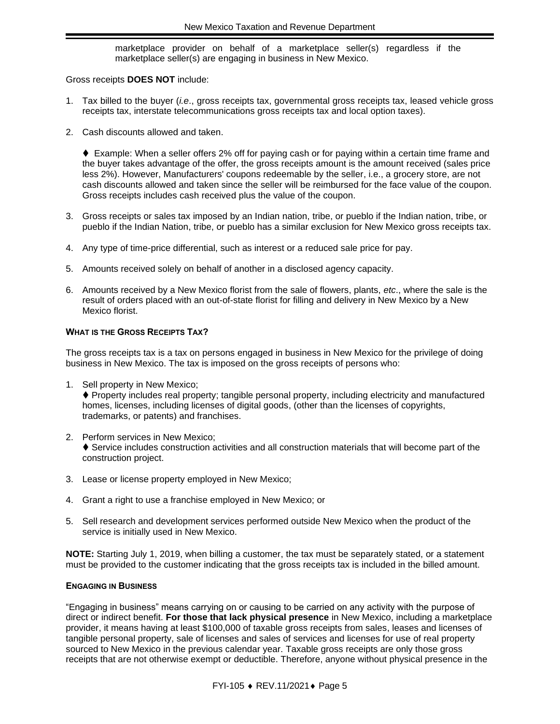marketplace provider on behalf of a marketplace seller(s) regardless if the marketplace seller(s) are engaging in business in New Mexico.

Gross receipts **DOES NOT** include:

- 1. Tax billed to the buyer (*i.e*., gross receipts tax, governmental gross receipts tax, leased vehicle gross receipts tax, interstate telecommunications gross receipts tax and local option taxes).
- 2. Cash discounts allowed and taken.

♦ Example: When a seller offers 2% off for paying cash or for paying within a certain time frame and the buyer takes advantage of the offer, the gross receipts amount is the amount received (sales price less 2%). However, Manufacturers' coupons redeemable by the seller, i.e., a grocery store, are not cash discounts allowed and taken since the seller will be reimbursed for the face value of the coupon. Gross receipts includes cash received plus the value of the coupon.

- 3. Gross receipts or sales tax imposed by an Indian nation, tribe, or pueblo if the Indian nation, tribe, or pueblo if the Indian Nation, tribe, or pueblo has a similar exclusion for New Mexico gross receipts tax.
- 4. Any type of time-price differential, such as interest or a reduced sale price for pay.
- 5. Amounts received solely on behalf of another in a disclosed agency capacity.
- 6. Amounts received by a New Mexico florist from the sale of flowers, plants, *etc*., where the sale is the result of orders placed with an out-of-state florist for filling and delivery in New Mexico by a New Mexico florist.

#### **WHAT IS THE GROSS RECEIPTS TAX?**

The gross receipts tax is a tax on persons engaged in business in New Mexico for the privilege of doing business in New Mexico. The tax is imposed on the gross receipts of persons who:

- 1. Sell property in New Mexico; ♦ Property includes real property; tangible personal property, including electricity and manufactured homes, licenses, including licenses of digital goods, (other than the licenses of copyrights, trademarks, or patents) and franchises.
- 2. Perform services in New Mexico; ♦ Service includes construction activities and all construction materials that will become part of the construction project.
- 3. Lease or license property employed in New Mexico;
- 4. Grant a right to use a franchise employed in New Mexico; or
- 5. Sell research and development services performed outside New Mexico when the product of the service is initially used in New Mexico.

**NOTE:** Starting July 1, 2019, when billing a customer, the tax must be separately stated, or a statement must be provided to the customer indicating that the gross receipts tax is included in the billed amount.

#### **ENGAGING IN BUSINESS**

"Engaging in business" means carrying on or causing to be carried on any activity with the purpose of direct or indirect benefit. **For those that lack physical presence** in New Mexico, including a marketplace provider, it means having at least \$100,000 of taxable gross receipts from sales, leases and licenses of tangible personal property, sale of licenses and sales of services and licenses for use of real property sourced to New Mexico in the previous calendar year. Taxable gross receipts are only those gross receipts that are not otherwise exempt or deductible. Therefore, anyone without physical presence in the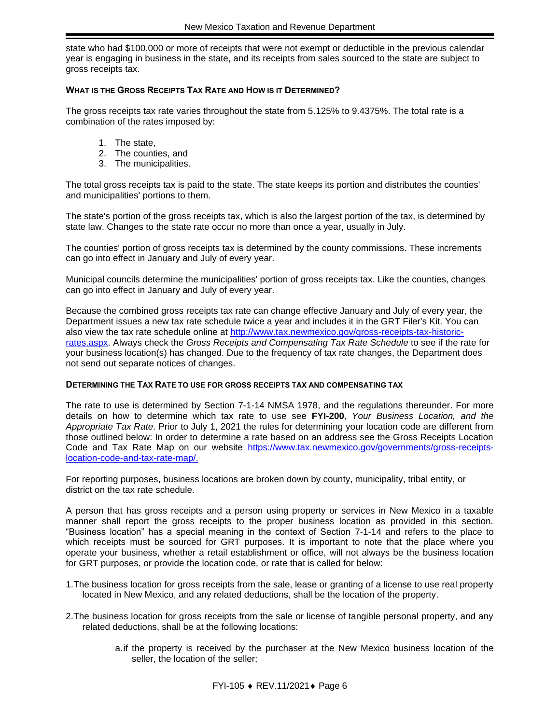state who had \$100,000 or more of receipts that were not exempt or deductible in the previous calendar year is engaging in business in the state, and its receipts from sales sourced to the state are subject to gross receipts tax.

#### **WHAT IS THE GROSS RECEIPTS TAX RATE AND HOW IS IT DETERMINED?**

The gross receipts tax rate varies throughout the state from 5.125% to 9.4375%. The total rate is a combination of the rates imposed by:

- 1. The state,
- 2. The counties, and
- 3. The municipalities.

The total gross receipts tax is paid to the state. The state keeps its portion and distributes the counties' and municipalities' portions to them.

The state's portion of the gross receipts tax, which is also the largest portion of the tax, is determined by state law. Changes to the state rate occur no more than once a year, usually in July.

The counties' portion of gross receipts tax is determined by the county commissions. These increments can go into effect in January and July of every year.

Municipal councils determine the municipalities' portion of gross receipts tax. Like the counties, changes can go into effect in January and July of every year.

Because the combined gross receipts tax rate can change effective January and July of every year, the Department issues a new tax rate schedule twice a year and includes it in the GRT Filer's Kit. You can also view the tax rate schedule online at http://www.tax.newmexico.gov/gross-receipts-tax-historicrates.aspx. Always check the *Gross Receipts and Compensating Tax Rate Schedule* to see if the rate for your business location(s) has changed. Due to the frequency of tax rate changes, the Department does not send out separate notices of changes.

#### **DETERMINING THE TAX RATE TO USE FOR GROSS RECEIPTS TAX AND COMPENSATING TAX**

The rate to use is determined by Section 7-1-14 NMSA 1978, and the regulations thereunder. For more details on how to determine which tax rate to use see **FYI-200**, *Your Business Location, and the Appropriate Tax Rate*. Prior to July 1, 2021 the rules for determining your location code are different from those outlined below: In order to determine a rate based on an address see the Gross Receipts Location Code and Tax Rate Map on our website [https://www.tax.newmexico.gov/governments/gross-receipts](https://www.tax.newmexico.gov/governments/gross-receipts-location-code-and-tax-rate-map/)[location-code-and-tax-rate-map/.](https://www.tax.newmexico.gov/governments/gross-receipts-location-code-and-tax-rate-map/)

For reporting purposes, business locations are broken down by county, municipality, tribal entity, or district on the tax rate schedule.

A person that has gross receipts and a person using property or services in New Mexico in a taxable manner shall report the gross receipts to the proper business location as provided in this section. "Business location" has a special meaning in the context of Section 7-1-14 and refers to the place to which receipts must be sourced for GRT purposes. It is important to note that the place where you operate your business, whether a retail establishment or office, will not always be the business location for GRT purposes, or provide the location code, or rate that is called for below:

- 1.The business location for gross receipts from the sale, lease or granting of a license to use real property located in New Mexico, and any related deductions, shall be the location of the property.
- 2.The business location for gross receipts from the sale or license of tangible personal property, and any related deductions, shall be at the following locations:
	- a.if the property is received by the purchaser at the New Mexico business location of the seller, the location of the seller;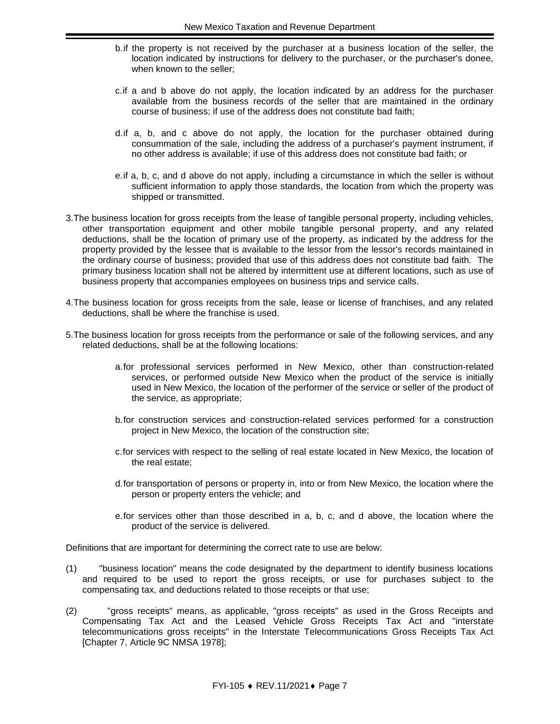- b.if the property is not received by the purchaser at a business location of the seller, the location indicated by instructions for delivery to the purchaser, or the purchaser's donee, when known to the seller;
- c.if a and b above do not apply, the location indicated by an address for the purchaser available from the business records of the seller that are maintained in the ordinary course of business; if use of the address does not constitute bad faith;
- d.if a, b, and c above do not apply, the location for the purchaser obtained during consummation of the sale, including the address of a purchaser's payment instrument, if no other address is available; if use of this address does not constitute bad faith; or
- e.if a, b, c, and d above do not apply, including a circumstance in which the seller is without sufficient information to apply those standards, the location from which the property was shipped or transmitted.
- 3.The business location for gross receipts from the lease of tangible personal property, including vehicles, other transportation equipment and other mobile tangible personal property, and any related deductions, shall be the location of primary use of the property, as indicated by the address for the property provided by the lessee that is available to the lessor from the lessor's records maintained in the ordinary course of business; provided that use of this address does not constitute bad faith. The primary business location shall not be altered by intermittent use at different locations, such as use of business property that accompanies employees on business trips and service calls.
- 4.The business location for gross receipts from the sale, lease or license of franchises, and any related deductions, shall be where the franchise is used.
- 5.The business location for gross receipts from the performance or sale of the following services, and any related deductions, shall be at the following locations:
	- a.for professional services performed in New Mexico, other than construction-related services, or performed outside New Mexico when the product of the service is initially used in New Mexico, the location of the performer of the service or seller of the product of the service, as appropriate;
	- b.for construction services and construction-related services performed for a construction project in New Mexico, the location of the construction site;
	- c.for services with respect to the selling of real estate located in New Mexico, the location of the real estate;
	- d.for transportation of persons or property in, into or from New Mexico, the location where the person or property enters the vehicle; and
	- e.for services other than those described in a, b, c, and d above, the location where the product of the service is delivered.

Definitions that are important for determining the correct rate to use are below:

- (1) "business location" means the code designated by the department to identify business locations and required to be used to report the gross receipts, or use for purchases subject to the compensating tax, and deductions related to those receipts or that use;
- (2) "gross receipts" means, as applicable, "gross receipts" as used in the Gross Receipts and Compensating Tax Act and the Leased Vehicle Gross Receipts Tax Act and "interstate telecommunications gross receipts" in the Interstate Telecommunications Gross Receipts Tax Act [Chapter 7, Article 9C NMSA 1978];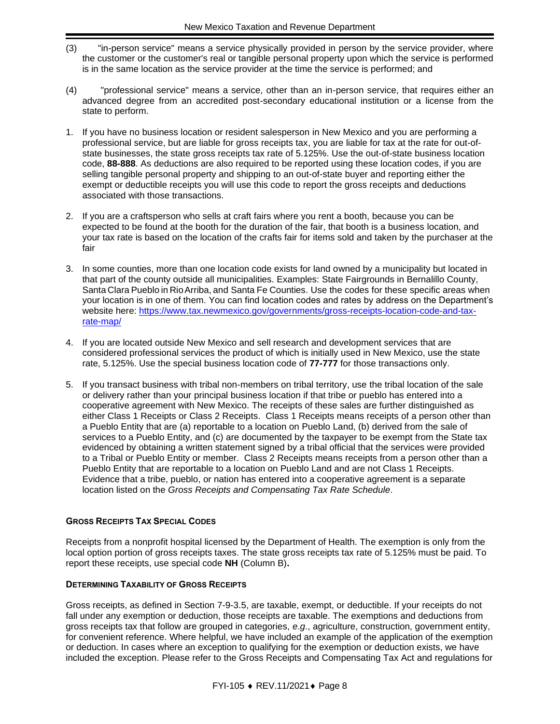- (3) "in-person service" means a service physically provided in person by the service provider, where the customer or the customer's real or tangible personal property upon which the service is performed is in the same location as the service provider at the time the service is performed; and
- (4) "professional service" means a service, other than an in-person service, that requires either an advanced degree from an accredited post-secondary educational institution or a license from the state to perform.
- 1. If you have no business location or resident salesperson in New Mexico and you are performing a professional service, but are liable for gross receipts tax, you are liable for tax at the rate for out-ofstate businesses, the state gross receipts tax rate of 5.125%. Use the out-of-state business location code, **88-888**. As deductions are also required to be reported using these location codes, if you are selling tangible personal property and shipping to an out-of-state buyer and reporting either the exempt or deductible receipts you will use this code to report the gross receipts and deductions associated with those transactions.
- 2. If you are a craftsperson who sells at craft fairs where you rent a booth, because you can be expected to be found at the booth for the duration of the fair, that booth is a business location, and your tax rate is based on the location of the crafts fair for items sold and taken by the purchaser at the fair
- 3. In some counties, more than one location code exists for land owned by a municipality but located in that part of the county outside all municipalities. Examples: State Fairgrounds in Bernalillo County, Santa Clara Pueblo in RioArriba, and Santa Fe Counties. Use the codes for these specific areas when your location is in one of them. You can find location codes and rates by address on the Department's website here: [https://www.tax.newmexico.gov/governments/gross-receipts-location-code-and-tax](https://www.tax.newmexico.gov/governments/gross-receipts-location-code-and-tax-rate-map/)[rate-map/](https://www.tax.newmexico.gov/governments/gross-receipts-location-code-and-tax-rate-map/)
- 4. If you are located outside New Mexico and sell research and development services that are considered professional services the product of which is initially used in New Mexico, use the state rate, 5.125%. Use the special business location code of **77-777** for those transactions only.
- 5. If you transact business with tribal non-members on tribal territory, use the tribal location of the sale or delivery rather than your principal business location if that tribe or pueblo has entered into a cooperative agreement with New Mexico. The receipts of these sales are further distinguished as either Class 1 Receipts or Class 2 Receipts. Class 1 Receipts means receipts of a person other than a Pueblo Entity that are (a) reportable to a location on Pueblo Land, (b) derived from the sale of services to a Pueblo Entity, and (c) are documented by the taxpayer to be exempt from the State tax evidenced by obtaining a written statement signed by a tribal official that the services were provided to a Tribal or Pueblo Entity or member. Class 2 Receipts means receipts from a person other than a Pueblo Entity that are reportable to a location on Pueblo Land and are not Class 1 Receipts. Evidence that a tribe, pueblo, or nation has entered into a cooperative agreement is a separate location listed on the *Gross Receipts and Compensating Tax Rate Schedule*.

#### **GROSS RECEIPTS TAX SPECIAL CODES**

Receipts from a nonprofit hospital licensed by the Department of Health. The exemption is only from the local option portion of gross receipts taxes. The state gross receipts tax rate of 5.125% must be paid. To report these receipts, use special code **NH** (Column B)**.**

#### **DETERMINING TAXABILITY OF GROSS RECEIPTS**

Gross receipts, as defined in Section 7-9-3.5, are taxable, exempt, or deductible. If your receipts do not fall under any exemption or deduction, those receipts are taxable. The exemptions and deductions from gross receipts tax that follow are grouped in categories, *e*.*g*., agriculture, construction, government entity, for convenient reference. Where helpful, we have included an example of the application of the exemption or deduction. In cases where an exception to qualifying for the exemption or deduction exists, we have included the exception. Please refer to the Gross Receipts and Compensating Tax Act and regulations for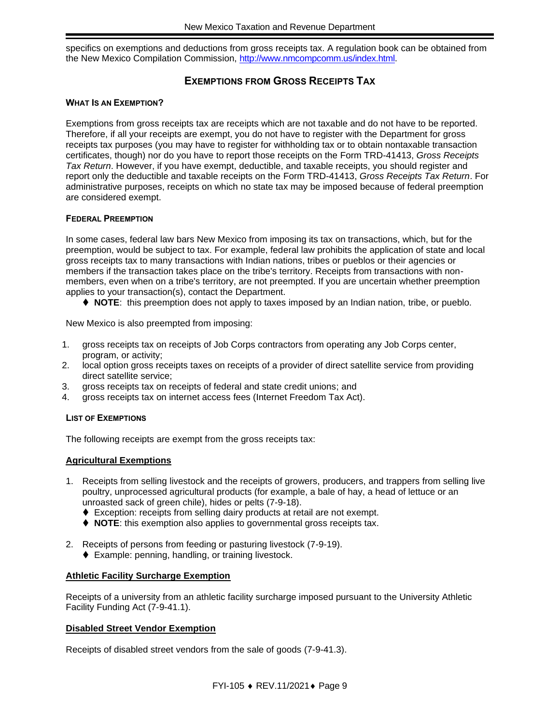specifics on exemptions and deductions from gross receipts tax. A regulation book can be obtained from the New Mexico Compilation Commission, [http://www.nmcompcomm.us/index.html.](http://www.nmcompcomm.us/index.html)

#### **EXEMPTIONS FROM GROSS RECEIPTS TAX**

#### <span id="page-8-0"></span>**WHAT IS AN EXEMPTION?**

Exemptions from gross receipts tax are receipts which are not taxable and do not have to be reported. Therefore, if all your receipts are exempt, you do not have to register with the Department for gross receipts tax purposes (you may have to register for withholding tax or to obtain nontaxable transaction certificates, though) nor do you have to report those receipts on the Form TRD-41413, *Gross Receipts Tax Return*. However, if you have exempt, deductible, and taxable receipts, you should register and report only the deductible and taxable receipts on the Form TRD-41413, *Gross Receipts Tax Return*. For administrative purposes, receipts on which no state tax may be imposed because of federal preemption are considered exempt.

#### <span id="page-8-1"></span>**FEDERAL PREEMPTION**

In some cases, federal law bars New Mexico from imposing its tax on transactions, which, but for the preemption, would be subject to tax. For example, federal law prohibits the application of state and local gross receipts tax to many transactions with Indian nations, tribes or pueblos or their agencies or members if the transaction takes place on the tribe's territory. Receipts from transactions with nonmembers, even when on a tribe's territory, are not preempted. If you are uncertain whether preemption applies to your transaction(s), contact the Department.

⧫ **NOTE**: this preemption does not apply to taxes imposed by an Indian nation, tribe, or pueblo.

New Mexico is also preempted from imposing:

- 1. gross receipts tax on receipts of Job Corps contractors from operating any Job Corps center, program, or activity;
- 2. local option gross receipts taxes on receipts of a provider of direct satellite service from providing direct satellite service;
- 3. gross receipts tax on receipts of federal and state credit unions; and
- 4. gross receipts tax on internet access fees (Internet Freedom Tax Act).

#### **LIST OF EXEMPTIONS**

The following receipts are exempt from the gross receipts tax:

#### **Agricultural Exemptions**

- 1. Receipts from selling livestock and the receipts of growers, producers, and trappers from selling live poultry, unprocessed agricultural products (for example, a bale of hay, a head of lettuce or an unroasted sack of green chile), hides or pelts (7-9-18).
	- ◆ Exception: receipts from selling dairy products at retail are not exempt.
	- ◆ **NOTE**: this exemption also applies to governmental gross receipts tax.
- 2. Receipts of persons from feeding or pasturing livestock (7-9-19).
	- ◆ Example: penning, handling, or training livestock.

#### **Athletic Facility Surcharge Exemption**

Receipts of a university from an athletic facility surcharge imposed pursuant to the University Athletic Facility Funding Act (7-9-41.1).

#### **Disabled Street Vendor Exemption**

Receipts of disabled street vendors from the sale of goods (7-9-41.3).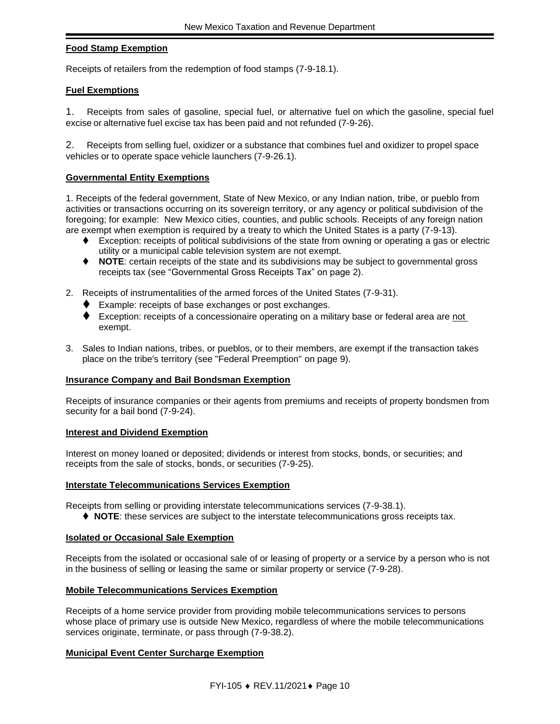#### **Food Stamp Exemption**

Receipts of retailers from the redemption of food stamps (7-9-18.1).

#### **Fuel Exemptions**

1. Receipts from sales of gasoline, special fuel, or alternative fuel on which the gasoline, special fuel excise or alternative fuel excise tax has been paid and not refunded (7-9-26).

2. Receipts from selling fuel, oxidizer or a substance that combines fuel and oxidizer to propel space vehicles or to operate space vehicle launchers (7-9-26.1).

#### **Governmental Entity Exemptions**

1. Receipts of the federal government, State of New Mexico, or any Indian nation, tribe, or pueblo from activities or transactions occurring on its sovereign territory, or any agency or political subdivision of the foregoing; for example: New Mexico cities, counties, and public schools. Receipts of any foreign nation are exempt when exemption is required by a treaty to which the United States is a party (7-9-13).

- ♦ Exception: receipts of political subdivisions of the state from owning or operating a gas or electric utility or a municipal cable television system are not exempt.
- ⧫ **NOTE**: certain receipts of the state and its subdivisions may be subject to governmental gross receipts tax (see "Governmental Gross Receipts Tax" on page [2\)](#page-1-1).
- 2. Receipts of instrumentalities of the armed forces of the United States (7-9-31).
	- ⧫ Example: receipts of base exchanges or post exchanges.
	- ◆ Exception: receipts of a concessionaire operating on a military base or federal area are not exempt.
- 3. Sales to Indian nations, tribes, or pueblos, or to their members, are exempt if the transaction takes place on the tribe's territory (see "Federal Preemption" on page [9\)](#page-8-1).

#### **Insurance Company and Bail Bondsman Exemption**

Receipts of insurance companies or their agents from premiums and receipts of property bondsmen from security for a bail bond (7-9-24).

#### **Interest and Dividend Exemption**

Interest on money loaned or deposited; dividends or interest from stocks, bonds, or securities; and receipts from the sale of stocks, bonds, or securities (7-9-25).

#### **Interstate Telecommunications Services Exemption**

Receipts from selling or providing interstate telecommunications services (7-9-38.1).

♦ **NOTE**: these services are subject to the interstate telecommunications gross receipts tax.

#### **Isolated or Occasional Sale Exemption**

Receipts from the isolated or occasional sale of or leasing of property or a service by a person who is not in the business of selling or leasing the same or similar property or service (7-9-28).

#### **Mobile Telecommunications Services Exemption**

Receipts of a home service provider from providing mobile telecommunications services to persons whose place of primary use is outside New Mexico, regardless of where the mobile telecommunications services originate, terminate, or pass through (7-9-38.2).

#### **Municipal Event Center Surcharge Exemption**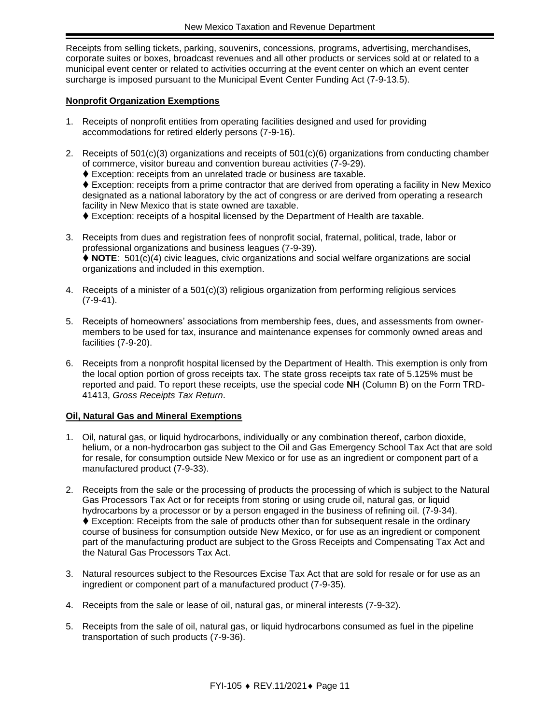Receipts from selling tickets, parking, souvenirs, concessions, programs, advertising, merchandises, corporate suites or boxes, broadcast revenues and all other products or services sold at or related to a municipal event center or related to activities occurring at the event center on which an event center surcharge is imposed pursuant to the Municipal Event Center Funding Act (7-9-13.5).

#### **Nonprofit Organization Exemptions**

- 1. Receipts of nonprofit entities from operating facilities designed and used for providing accommodations for retired elderly persons (7-9-16).
- 2. Receipts of 501(c)(3) organizations and receipts of 501(c)(6) organizations from conducting chamber of commerce, visitor bureau and convention bureau activities (7-9-29).
	- ♦ Exception: receipts from an unrelated trade or business are taxable.

♦ Exception: receipts from a prime contractor that are derived from operating a facility in New Mexico designated as a national laboratory by the act of congress or are derived from operating a research facility in New Mexico that is state owned are taxable.

⧫ Exception: receipts of a hospital licensed by the Department of Health are taxable.

- 3. Receipts from dues and registration fees of nonprofit social, fraternal, political, trade, labor or professional organizations and business leagues (7-9-39). ⧫ **NOTE**: 501(c)(4) civic leagues, civic organizations and social welfare organizations are social organizations and included in this exemption.
- 4. Receipts of a minister of a 501(c)(3) religious organization from performing religious services (7-9-41).
- 5. Receipts of homeowners' associations from membership fees, dues, and assessments from ownermembers to be used for tax, insurance and maintenance expenses for commonly owned areas and facilities (7-9-20).
- 6. Receipts from a nonprofit hospital licensed by the Department of Health. This exemption is only from the local option portion of gross receipts tax. The state gross receipts tax rate of 5.125% must be reported and paid. To report these receipts, use the special code **NH** (Column B) on the Form TRD-41413, *Gross Receipts Tax Return*.

#### **Oil, Natural Gas and Mineral Exemptions**

- 1. Oil, natural gas, or liquid hydrocarbons, individually or any combination thereof, carbon dioxide, helium, or a non-hydrocarbon gas subject to the Oil and Gas Emergency School Tax Act that are sold for resale, for consumption outside New Mexico or for use as an ingredient or component part of a manufactured product (7-9-33).
- 2. Receipts from the sale or the processing of products the processing of which is subject to the Natural Gas Processors Tax Act or for receipts from storing or using crude oil, natural gas, or liquid hydrocarbons by a processor or by a person engaged in the business of refining oil. (7-9-34). ♦ Exception: Receipts from the sale of products other than for subsequent resale in the ordinary course of business for consumption outside New Mexico, or for use as an ingredient or component part of the manufacturing product are subject to the Gross Receipts and Compensating Tax Act and the Natural Gas Processors Tax Act.
- 3. Natural resources subject to the Resources Excise Tax Act that are sold for resale or for use as an ingredient or component part of a manufactured product (7-9-35).
- 4. Receipts from the sale or lease of oil, natural gas, or mineral interests (7-9-32).
- 5. Receipts from the sale of oil, natural gas, or liquid hydrocarbons consumed as fuel in the pipeline transportation of such products (7-9-36).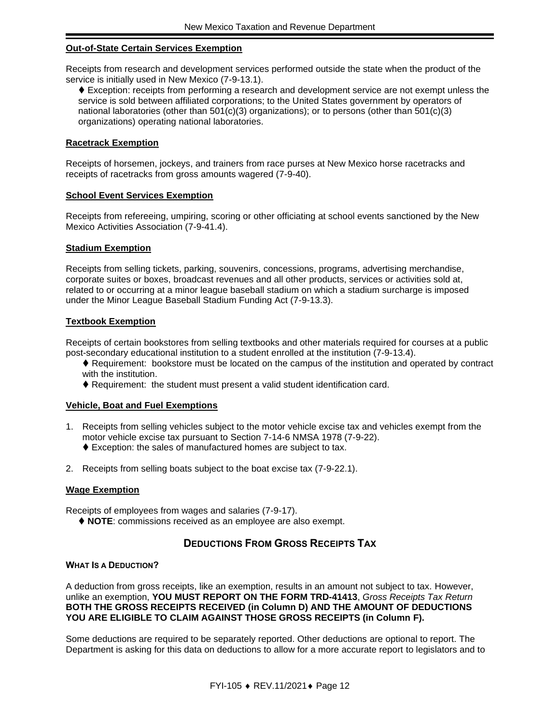#### **Out-of-State Certain Services Exemption**

Receipts from research and development services performed outside the state when the product of the service is initially used in New Mexico (7-9-13.1).

⧫ Exception: receipts from performing a research and development service are not exempt unless the service is sold between affiliated corporations; to the United States government by operators of national laboratories (other than  $501(c)(3)$  organizations); or to persons (other than  $501(c)(3)$ organizations) operating national laboratories.

#### **Racetrack Exemption**

Receipts of horsemen, jockeys, and trainers from race purses at New Mexico horse racetracks and receipts of racetracks from gross amounts wagered (7-9-40).

#### **School Event Services Exemption**

Receipts from refereeing, umpiring, scoring or other officiating at school events sanctioned by the New Mexico Activities Association (7-9-41.4).

#### **Stadium Exemption**

Receipts from selling tickets, parking, souvenirs, concessions, programs, advertising merchandise, corporate suites or boxes, broadcast revenues and all other products, services or activities sold at, related to or occurring at a minor league baseball stadium on which a stadium surcharge is imposed under the Minor League Baseball Stadium Funding Act (7-9-13.3).

#### **Textbook Exemption**

Receipts of certain bookstores from selling textbooks and other materials required for courses at a public post-secondary educational institution to a student enrolled at the institution (7-9-13.4).

- ♦ Requirement: bookstore must be located on the campus of the institution and operated by contract with the institution.
- ♦ Requirement: the student must present a valid student identification card.

#### **Vehicle, Boat and Fuel Exemptions**

- 1. Receipts from selling vehicles subject to the motor vehicle excise tax and vehicles exempt from the motor vehicle excise tax pursuant to Section 7-14-6 NMSA 1978 (7-9-22). ⧫ Exception: the sales of manufactured homes are subject to tax.
- 2. Receipts from selling boats subject to the boat excise tax (7-9-22.1).

#### **Wage Exemption**

Receipts of employees from wages and salaries (7-9-17).

⧫ **NOTE**: commissions received as an employee are also exempt.

#### **DEDUCTIONS FROM GROSS RECEIPTS TAX**

#### <span id="page-11-0"></span>**WHAT IS A DEDUCTION?**

A deduction from gross receipts, like an exemption, results in an amount not subject to tax. However, unlike an exemption, **YOU MUST REPORT ON THE FORM TRD-41413**, *Gross Receipts Tax Return* **BOTH THE GROSS RECEIPTS RECEIVED (in Column D) AND THE AMOUNT OF DEDUCTIONS YOU ARE ELIGIBLE TO CLAIM AGAINST THOSE GROSS RECEIPTS (in Column F).**

Some deductions are required to be separately reported. Other deductions are optional to report. The Department is asking for this data on deductions to allow for a more accurate report to legislators and to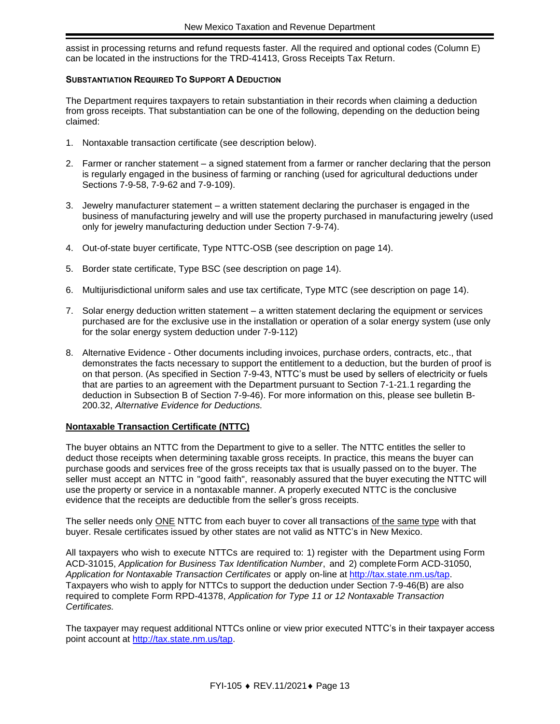assist in processing returns and refund requests faster. All the required and optional codes (Column E) can be located in the instructions for the TRD-41413, Gross Receipts Tax Return.

#### **SUBSTANTIATION REQUIRED TO SUPPORT A DEDUCTION**

The Department requires taxpayers to retain substantiation in their records when claiming a deduction from gross receipts. That substantiation can be one of the following, depending on the deduction being claimed:

- 1. Nontaxable transaction certificate (see description below).
- 2. Farmer or rancher statement a signed statement from a farmer or rancher declaring that the person is regularly engaged in the business of farming or ranching (used for agricultural deductions under Sections 7-9-58, 7-9-62 and 7-9-109).
- 3. Jewelry manufacturer statement a written statement declaring the purchaser is engaged in the business of manufacturing jewelry and will use the property purchased in manufacturing jewelry (used only for jewelry manufacturing deduction under Section 7-9-74).
- 4. Out-of-state buyer certificate, Type NTTC-OSB (see description on page [14\)](#page-13-1).
- 5. Border state certificate, Type BSC (see description on page [14\)](#page-13-2).
- 6. Multijurisdictional uniform sales and use tax certificate, Type MTC (see description on page [14\)](#page-13-3).
- 7. Solar energy deduction written statement a written statement declaring the equipment or services purchased are for the exclusive use in the installation or operation of a solar energy system (use only for the solar energy system deduction under 7-9-112)
- 8. Alternative Evidence Other documents including invoices, purchase orders, contracts, etc., that demonstrates the facts necessary to support the entitlement to a deduction, but the burden of proof is on that person. (As specified in Section 7-9-43, NTTC's must be used by sellers of electricity or fuels that are parties to an agreement with the Department pursuant to Section 7-1-21.1 regarding the deduction in Subsection B of Section 7-9-46). For more information on this, please see bulletin B-200.32, *Alternative Evidence for Deductions.*

#### **Nontaxable Transaction Certificate (NTTC)**

The buyer obtains an NTTC from the Department to give to a seller. The NTTC entitles the seller to deduct those receipts when determining taxable gross receipts. In practice, this means the buyer can purchase goods and services free of the gross receipts tax that is usually passed on to the buyer. The seller must accept an NTTC in "good faith", reasonably assured that the buyer executing the NTTC will use the property or service in a nontaxable manner. A properly executed NTTC is the conclusive evidence that the receipts are deductible from the seller's gross receipts.

The seller needs only ONE NTTC from each buyer to cover all transactions of the same type with that buyer. Resale certificates issued by other states are not valid as NTTC's in New Mexico.

All taxpayers who wish to execute NTTCs are required to: 1) register with the Department using Form ACD-31015, *Application for Business Tax Identification Number*, and 2) complete Form ACD-31050, *Application for Nontaxable Transaction Certificates* or apply on-line at [http://tax.state.nm.us/tap.](http://tax.state.nm.us/tap) Taxpayers who wish to apply for NTTCs to support the deduction under Section 7-9-46(B) are also required to complete Form RPD-41378, *Application for Type 11 or 12 Nontaxable Transaction Certificates.*

The taxpayer may request additional NTTCs online or view prior executed NTTC's in their taxpayer access point account at [http://tax.state.nm.us/tap.](http://tax.state.nm.us/tap)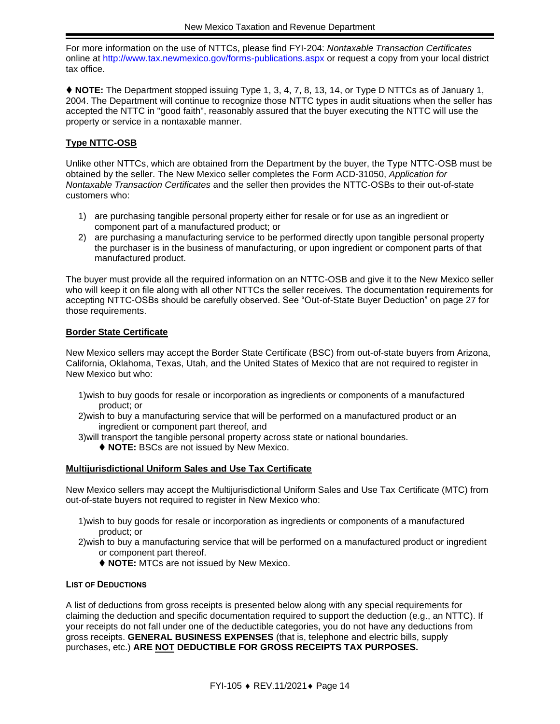For more information on the use of NTTCs, please find FYI-204: *Nontaxable Transaction Certificates* online at<http://www.tax.newmexico.gov/forms-publications.aspx> or request a copy from your local district tax office.

⧫ **NOTE:** The Department stopped issuing Type 1, 3, 4, 7, 8, 13, 14, or Type D NTTCs as of January 1, 2004. The Department will continue to recognize those NTTC types in audit situations when the seller has accepted the NTTC in "good faith", reasonably assured that the buyer executing the NTTC will use the property or service in a nontaxable manner.

#### <span id="page-13-1"></span>**Type NTTC-OSB**

Unlike other NTTCs, which are obtained from the Department by the buyer, the Type NTTC-OSB must be obtained by the seller. The New Mexico seller completes the Form ACD-31050, *Application for Nontaxable Transaction Certificates* and the seller then provides the NTTC-OSBs to their out-of-state customers who:

- 1) are purchasing tangible personal property either for resale or for use as an ingredient or component part of a manufactured product; or
- 2) are purchasing a manufacturing service to be performed directly upon tangible personal property the purchaser is in the business of manufacturing, or upon ingredient or component parts of that manufactured product.

The buyer must provide all the required information on an NTTC-OSB and give it to the New Mexico seller who will keep it on file along with all other NTTCs the seller receives. The documentation requirements for accepting NTTC-OSBs should be carefully observed. See "Out-of-State Buyer Deduction" on page [27](#page-26-0) for those requirements.

#### <span id="page-13-2"></span>**Border State Certificate**

New Mexico sellers may accept the Border State Certificate (BSC) from out-of-state buyers from Arizona, California, Oklahoma, Texas, Utah, and the United States of Mexico that are not required to register in New Mexico but who:

- 1)wish to buy goods for resale or incorporation as ingredients or components of a manufactured product; or
- 2)wish to buy a manufacturing service that will be performed on a manufactured product or an ingredient or component part thereof, and
- 3)will transport the tangible personal property across state or national boundaries.
	- ◆ **NOTE: BSCs are not issued by New Mexico.**

#### <span id="page-13-3"></span>**Multijurisdictional Uniform Sales and Use Tax Certificate**

New Mexico sellers may accept the Multijurisdictional Uniform Sales and Use Tax Certificate (MTC) from out-of-state buyers not required to register in New Mexico who:

- 1)wish to buy goods for resale or incorporation as ingredients or components of a manufactured product; or
- 2)wish to buy a manufacturing service that will be performed on a manufactured product or ingredient or component part thereof.
	- ◆ **NOTE:** MTCs are not issued by New Mexico.

#### <span id="page-13-0"></span>**LIST OF DEDUCTIONS**

A list of deductions from gross receipts is presented below along with any special requirements for claiming the deduction and specific documentation required to support the deduction (e.g., an NTTC). If your receipts do not fall under one of the deductible categories, you do not have any deductions from gross receipts. **GENERAL BUSINESS EXPENSES** (that is, telephone and electric bills, supply purchases, etc.) **ARE NOT DEDUCTIBLE FOR GROSS RECEIPTS TAX PURPOSES.**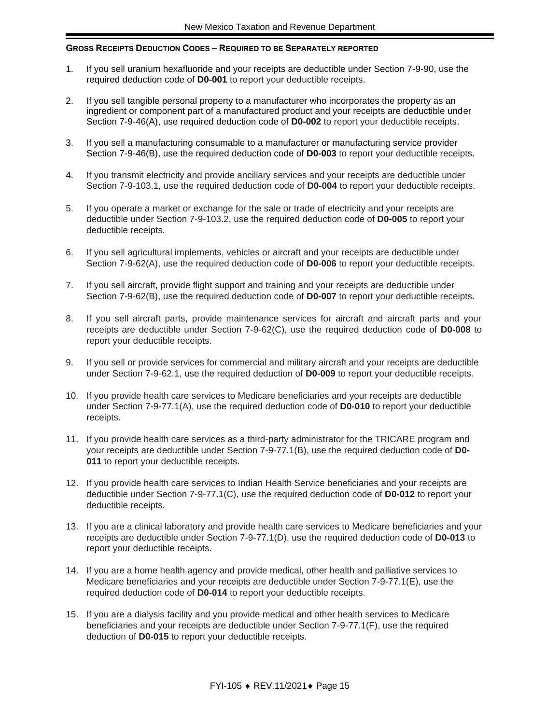#### **GROSS RECEIPTS DEDUCTION CODES – REQUIRED TO BE SEPARATELY REPORTED**

- 1. If you sell uranium hexafluoride and your receipts are deductible under Section 7-9-90, use the required deduction code of **D0-001** to report your deductible receipts.
- 2. If you sell tangible personal property to a manufacturer who incorporates the property as an ingredient or component part of a manufactured product and your receipts are deductible under Section 7-9-46(A), use required deduction code of **D0-002** to report your deductible receipts.
- 3. If you sell a manufacturing consumable to a manufacturer or manufacturing service provider Section 7-9-46(B), use the required deduction code of **D0-003** to report your deductible receipts.
- 4. If you transmit electricity and provide ancillary services and your receipts are deductible under Section 7-9-103.1, use the required deduction code of **D0-004** to report your deductible receipts.
- 5. If you operate a market or exchange for the sale or trade of electricity and your receipts are deductible under Section 7-9-103.2, use the required deduction code of **D0-005** to report your deductible receipts.
- 6. If you sell agricultural implements, vehicles or aircraft and your receipts are deductible under Section 7-9-62(A), use the required deduction code of **D0-006** to report your deductible receipts.
- 7. If you sell aircraft, provide flight support and training and your receipts are deductible under Section 7-9-62(B), use the required deduction code of **D0-007** to report your deductible receipts.
- 8. If you sell aircraft parts, provide maintenance services for aircraft and aircraft parts and your receipts are deductible under Section 7-9-62(C), use the required deduction code of **D0-008** to report your deductible receipts.
- 9. If you sell or provide services for commercial and military aircraft and your receipts are deductible under Section 7-9-62.1, use the required deduction of **D0-009** to report your deductible receipts.
- 10. If you provide health care services to Medicare beneficiaries and your receipts are deductible under Section 7-9-77.1(A), use the required deduction code of **D0-010** to report your deductible receipts.
- 11. If you provide health care services as a third-party administrator for the TRICARE program and your receipts are deductible under Section 7-9-77.1(B), use the required deduction code of **D0- 011** to report your deductible receipts.
- 12. If you provide health care services to Indian Health Service beneficiaries and your receipts are deductible under Section 7-9-77.1(C), use the required deduction code of **D0-012** to report your deductible receipts.
- 13. If you are a clinical laboratory and provide health care services to Medicare beneficiaries and your receipts are deductible under Section 7-9-77.1(D), use the required deduction code of **D0-013** to report your deductible receipts.
- 14. If you are a home health agency and provide medical, other health and palliative services to Medicare beneficiaries and your receipts are deductible under Section 7-9-77.1(E), use the required deduction code of **D0-014** to report your deductible receipts.
- 15. If you are a dialysis facility and you provide medical and other health services to Medicare beneficiaries and your receipts are deductible under Section 7-9-77.1(F), use the required deduction of **D0-015** to report your deductible receipts.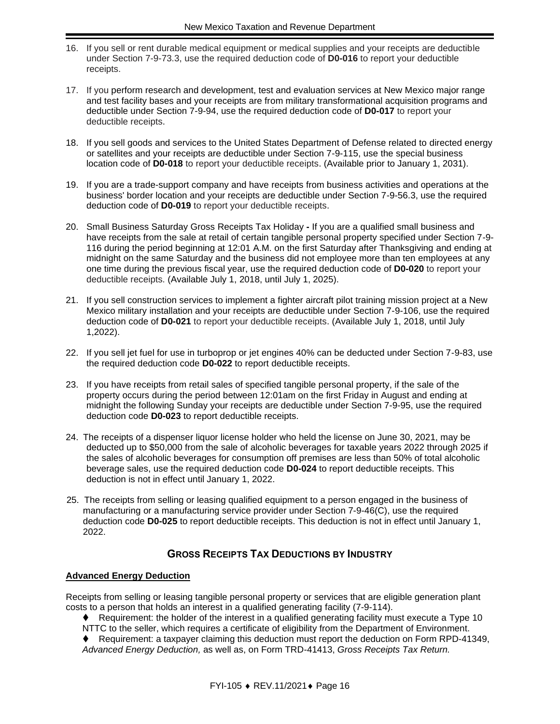- 16. If you sell or rent durable medical equipment or medical supplies and your receipts are deductible under Section 7-9-73.3, use the required deduction code of **D0-016** to report your deductible receipts.
- 17. If you perform research and development, test and evaluation services at New Mexico major range and test facility bases and your receipts are from military transformational acquisition programs and deductible under Section 7-9-94, use the required deduction code of **D0-017** to report your deductible receipts.
- 18. If you sell goods and services to the United States Department of Defense related to directed energy or satellites and your receipts are deductible under Section 7-9-115, use the special business location code of **D0-018** to report your deductible receipts. (Available prior to January 1, 2031).
- 19. If you are a trade-support company and have receipts from business activities and operations at the business' border location and your receipts are deductible under Section 7-9-56.3, use the required deduction code of **D0-019** to report your deductible receipts.
- 20. Small Business Saturday Gross Receipts Tax Holiday **-** If you are a qualified small business and have receipts from the sale at retail of certain tangible personal property specified under Section 7-9- 116 during the period beginning at 12:01 A.M. on the first Saturday after Thanksgiving and ending at midnight on the same Saturday and the business did not employee more than ten employees at any one time during the previous fiscal year, use the required deduction code of **D0-020** to report your deductible receipts. (Available July 1, 2018, until July 1, 2025).
- 21. If you sell construction services to implement a fighter aircraft pilot training mission project at a New Mexico military installation and your receipts are deductible under Section 7-9-106, use the required deduction code of **D0-021** to report your deductible receipts. (Available July 1, 2018, until July 1,2022).
- 22. If you sell jet fuel for use in turboprop or jet engines 40% can be deducted under Section 7-9-83, use the required deduction code **D0-022** to report deductible receipts.
- 23. If you have receipts from retail sales of specified tangible personal property, if the sale of the property occurs during the period between 12:01am on the first Friday in August and ending at midnight the following Sunday your receipts are deductible under Section 7-9-95, use the required deduction code **D0-023** to report deductible receipts.
- 24. The receipts of a dispenser liquor license holder who held the license on June 30, 2021, may be deducted up to \$50,000 from the sale of alcoholic beverages for taxable years 2022 through 2025 if the sales of alcoholic beverages for consumption off premises are less than 50% of total alcoholic beverage sales, use the required deduction code **D0-024** to report deductible receipts. This deduction is not in effect until January 1, 2022.
- 25. The receipts from selling or leasing qualified equipment to a person engaged in the business of manufacturing or a manufacturing service provider under Section 7-9-46(C), use the required deduction code **D0-025** to report deductible receipts. This deduction is not in effect until January 1, 2022.

#### **GROSS RECEIPTS TAX DEDUCTIONS BY INDUSTRY**

#### **Advanced Energy Deduction**

Receipts from selling or leasing tangible personal property or services that are eligible generation plant costs to a person that holds an interest in a qualified generating facility (7-9-114).

- ⧫ Requirement: the holder of the interest in a qualified generating facility must execute a Type 10
- NTTC to the seller, which requires a certificate of eligibility from the Department of Environment.
- ⧫ Requirement: a taxpayer claiming this deduction must report the deduction on Form RPD-41349, *Advanced Energy Deduction,* as well as, on Form TRD-41413, *Gross Receipts Tax Return.*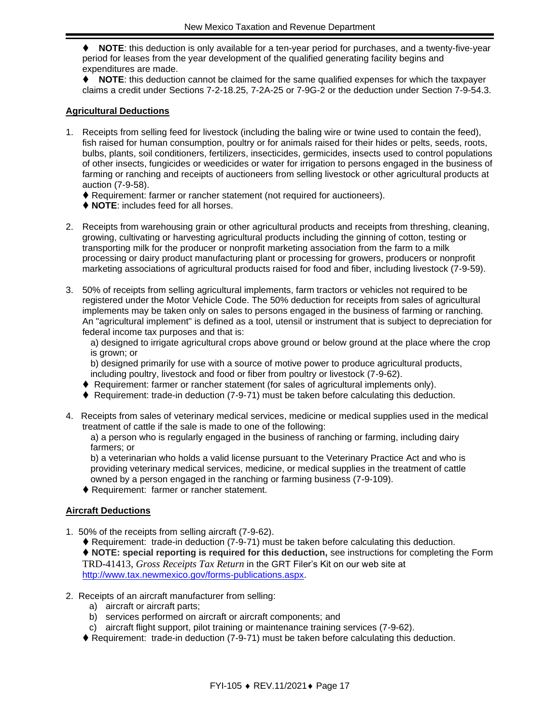⧫ **NOTE**: this deduction is only available for a ten-year period for purchases, and a twenty-five-year period for leases from the year development of the qualified generating facility begins and expenditures are made.

⧫ **NOTE**: this deduction cannot be claimed for the same qualified expenses for which the taxpayer claims a credit under Sections 7-2-18.25, 7-2A-25 or 7-9G-2 or the deduction under Section 7-9-54.3.

#### **Agricultural Deductions**

- 1. Receipts from selling feed for livestock (including the baling wire or twine used to contain the feed), fish raised for human consumption, poultry or for animals raised for their hides or pelts, seeds, roots, bulbs, plants, soil conditioners, fertilizers, insecticides, germicides, insects used to control populations of other insects, fungicides or weedicides or water for irrigation to persons engaged in the business of farming or ranching and receipts of auctioneers from selling livestock or other agricultural products at auction (7-9-58).
	- ◆ Requirement: farmer or rancher statement (not required for auctioneers).
	- ⧫ **NOTE**: includes feed for all horses.
- 2. Receipts from warehousing grain or other agricultural products and receipts from threshing, cleaning, growing, cultivating or harvesting agricultural products including the ginning of cotton, testing or transporting milk for the producer or nonprofit marketing association from the farm to a milk processing or dairy product manufacturing plant or processing for growers, producers or nonprofit marketing associations of agricultural products raised for food and fiber, including livestock (7-9-59).
- 3. 50% of receipts from selling agricultural implements, farm tractors or vehicles not required to be registered under the Motor Vehicle Code. The 50% deduction for receipts from sales of agricultural implements may be taken only on sales to persons engaged in the business of farming or ranching. An "agricultural implement" is defined as a tool, utensil or instrument that is subject to depreciation for federal income tax purposes and that is:
	- a) designed to irrigate agricultural crops above ground or below ground at the place where the crop is grown; or

b) designed primarily for use with a source of motive power to produce agricultural products, including poultry, livestock and food or fiber from poultry or livestock (7-9-62).

- ⧫ Requirement: farmer or rancher statement (for sales of agricultural implements only).
- ♦ Requirement: trade-in deduction (7-9-71) must be taken before calculating this deduction.
- 4. Receipts from sales of veterinary medical services, medicine or medical supplies used in the medical treatment of cattle if the sale is made to one of the following:

a) a person who is regularly engaged in the business of ranching or farming, including dairy farmers; or

b) a veterinarian who holds a valid license pursuant to the Veterinary Practice Act and who is providing veterinary medical services, medicine, or medical supplies in the treatment of cattle owned by a person engaged in the ranching or farming business (7-9-109).

◆ Requirement: farmer or rancher statement.

#### **Aircraft Deductions**

- 1. 50% of the receipts from selling aircraft (7-9-62).
	- ⧫ Requirement: trade-in deduction (7-9-71) must be taken before calculating this deduction.

⧫ **NOTE: special reporting is required for this deduction,** see instructions for completing the Form TRD-41413, *Gross Receipts Tax Return* in the GRT Filer's Kit on our web site at [http://www.tax.newmexico.gov/forms-publications.aspx.](http://www.tax.newmexico.gov/forms-publications.aspx)

- 2. Receipts of an aircraft manufacturer from selling:
	- a) aircraft or aircraft parts;
	- b) services performed on aircraft or aircraft components; and
	- c) aircraft flight support, pilot training or maintenance training services (7-9-62).
	- ⧫ Requirement: trade-in deduction (7-9-71) must be taken before calculating this deduction.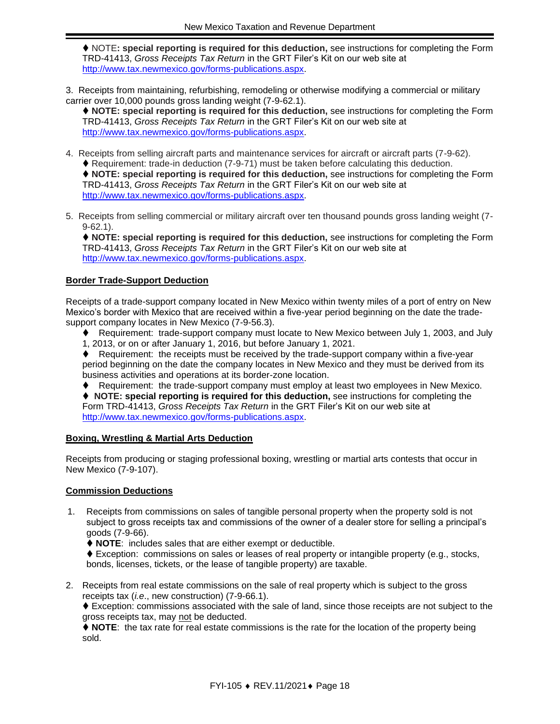⧫ NOTE**: special reporting is required for this deduction,** see instructions for completing the Form TRD-41413, *Gross Receipts Tax Return* in the GRT Filer's Kit on our web site at [http://www.tax.newmexico.gov/forms-publications.aspx.](http://www.tax.newmexico.gov/forms-publications.aspx)

3. Receipts from maintaining, refurbishing, remodeling or otherwise modifying a commercial or military carrier over 10,000 pounds gross landing weight (7-9-62.1).

⧫ **NOTE: special reporting is required for this deduction,** see instructions for completing the Form TRD-41413, *Gross Receipts Tax Return* in the GRT Filer's Kit on our web site at [http://www.tax.newmexico.gov/forms-publications.aspx.](http://www.tax.newmexico.gov/forms-publications.aspx)

4. Receipts from selling aircraft parts and maintenance services for aircraft or aircraft parts (7-9-62). ♦ Requirement: trade-in deduction (7-9-71) must be taken before calculating this deduction.

⧫ **NOTE: special reporting is required for this deduction,** see instructions for completing the Form TRD-41413, *Gross Receipts Tax Return* in the GRT Filer's Kit on our web site at [http://www.tax.newmexico.gov/forms-publications.aspx.](http://www.tax.newmexico.gov/forms-publications.aspx)

5. Receipts from selling commercial or military aircraft over ten thousand pounds gross landing weight (7- 9-62.1).

⧫ **NOTE: special reporting is required for this deduction,** see instructions for completing the Form TRD-41413, *Gross Receipts Tax Return* in the GRT Filer's Kit on our web site at [http://www.tax.newmexico.gov/forms-publications.aspx.](http://www.tax.newmexico.gov/forms-publications.aspx)

#### **Border Trade-Support Deduction**

Receipts of a trade-support company located in New Mexico within twenty miles of a port of entry on New Mexico's border with Mexico that are received within a five-year period beginning on the date the tradesupport company locates in New Mexico (7-9-56.3).

- ⧫ Requirement: trade-support company must locate to New Mexico between July 1, 2003, and July
- 1, 2013, or on or after January 1, 2016, but before January 1, 2021.

⧫ Requirement: the receipts must be received by the trade-support company within a five-year period beginning on the date the company locates in New Mexico and they must be derived from its business activities and operations at its border-zone location.

⧫ Requirement: the trade-support company must employ at least two employees in New Mexico.

⧫ **NOTE: special reporting is required for this deduction,** see instructions for completing the Form TRD-41413, *Gross Receipts Tax Return* in the GRT Filer's Kit on our web site at [http://www.tax.newmexico.gov/forms-publications.aspx.](http://www.tax.newmexico.gov/forms-publications.aspx)

#### **Boxing, Wrestling & Martial Arts Deduction**

Receipts from producing or staging professional boxing, wrestling or martial arts contests that occur in New Mexico (7-9-107).

#### **Commission Deductions**

1. Receipts from commissions on sales of tangible personal property when the property sold is not subject to gross receipts tax and commissions of the owner of a dealer store for selling a principal's goods (7-9-66).

⧫ **NOTE**: includes sales that are either exempt or deductible.

⧫ Exception: commissions on sales or leases of real property or intangible property (e.g., stocks, bonds, licenses, tickets, or the lease of tangible property) are taxable.

2. Receipts from real estate commissions on the sale of real property which is subject to the gross receipts tax (*i.e*., new construction) (7-9-66.1).

♦ Exception: commissions associated with the sale of land, since those receipts are not subject to the gross receipts tax, may not be deducted.

⧫ **NOTE**: the tax rate for real estate commissions is the rate for the location of the property being sold.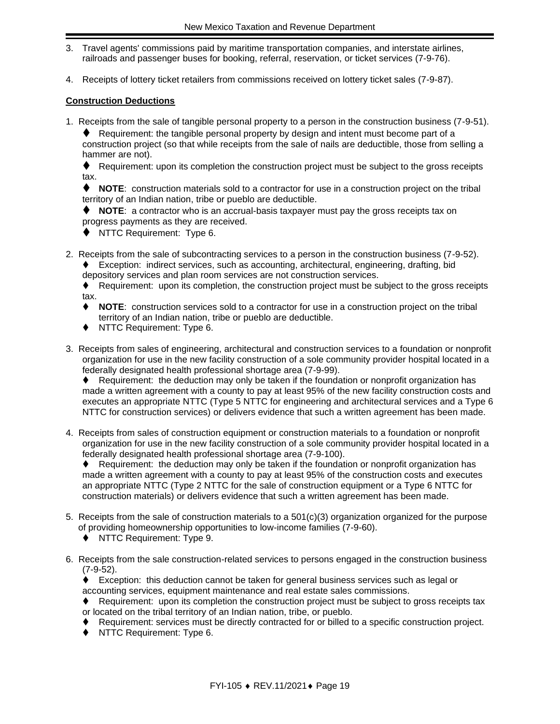- 3. Travel agents' commissions paid by maritime transportation companies, and interstate airlines, railroads and passenger buses for booking, referral, reservation, or ticket services (7-9-76).
- 4. Receipts of lottery ticket retailers from commissions received on lottery ticket sales (7-9-87).

#### **Construction Deductions**

1. Receipts from the sale of tangible personal property to a person in the construction business (7-9-51).  $\blacklozenge$  Requirement: the tangible personal property by design and intent must become part of a

construction project (so that while receipts from the sale of nails are deductible, those from selling a hammer are not).

⧫ Requirement: upon its completion the construction project must be subject to the gross receipts tax.

⧫ **NOTE**: construction materials sold to a contractor for use in a construction project on the tribal territory of an Indian nation, tribe or pueblo are deductible.

⧫ **NOTE**: a contractor who is an accrual-basis taxpayer must pay the gross receipts tax on progress payments as they are received.

- ◆ NTTC Requirement: Type 6.
- 2. Receipts from the sale of subcontracting services to a person in the construction business (7-9-52). ⧫ Exception: indirect services, such as accounting, architectural, engineering, drafting, bid depository services and plan room services are not construction services.

⧫ Requirement: upon its completion, the construction project must be subject to the gross receipts tax.

- NOTE: construction services sold to a contractor for use in a construction project on the tribal territory of an Indian nation, tribe or pueblo are deductible.
- NTTC Requirement: Type 6.
- 3. Receipts from sales of engineering, architectural and construction services to a foundation or nonprofit organization for use in the new facility construction of a sole community provider hospital located in a federally designated health professional shortage area (7-9-99).

♦ Requirement: the deduction may only be taken if the foundation or nonprofit organization has made a written agreement with a county to pay at least 95% of the new facility construction costs and executes an appropriate NTTC (Type 5 NTTC for engineering and architectural services and a Type 6 NTTC for construction services) or delivers evidence that such a written agreement has been made.

4. Receipts from sales of construction equipment or construction materials to a foundation or nonprofit organization for use in the new facility construction of a sole community provider hospital located in a federally designated health professional shortage area (7-9-100).

♦ Requirement: the deduction may only be taken if the foundation or nonprofit organization has made a written agreement with a county to pay at least 95% of the construction costs and executes an appropriate NTTC (Type 2 NTTC for the sale of construction equipment or a Type 6 NTTC for construction materials) or delivers evidence that such a written agreement has been made.

- 5. Receipts from the sale of construction materials to a 501(c)(3) organization organized for the purpose of providing homeownership opportunities to low-income families (7-9-60).
	- ◆ NTTC Requirement: Type 9.
- 6. Receipts from the sale construction-related services to persons engaged in the construction business (7-9-52).

♦ Exception: this deduction cannot be taken for general business services such as legal or accounting services, equipment maintenance and real estate sales commissions.

- ◆ Requirement: upon its completion the construction project must be subject to gross receipts tax or located on the tribal territory of an Indian nation, tribe, or pueblo.
- ⧫ Requirement: services must be directly contracted for or billed to a specific construction project.
- ⧫ NTTC Requirement: Type 6.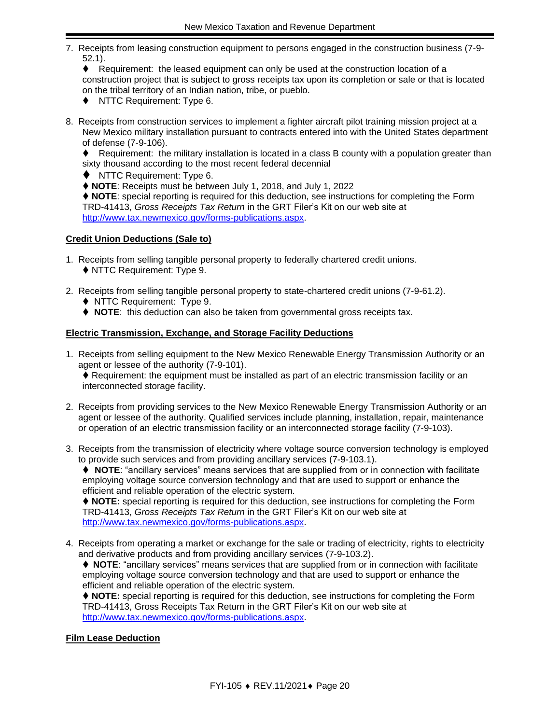7. Receipts from leasing construction equipment to persons engaged in the construction business (7-9- 52.1).

♦ Requirement: the leased equipment can only be used at the construction location of a construction project that is subject to gross receipts tax upon its completion or sale or that is located on the tribal territory of an Indian nation, tribe, or pueblo.

- ◆ NTTC Requirement: Type 6.
- 8. Receipts from construction services to implement a fighter aircraft pilot training mission project at a New Mexico military installation pursuant to contracts entered into with the United States department of defense (7-9-106).

♦ Requirement: the military installation is located in a class B county with a population greater than sixty thousand according to the most recent federal decennial

⧫ NTTC Requirement: Type 6.

⧫ **NOTE**: Receipts must be between July 1, 2018, and July 1, 2022

⧫ **NOTE**: special reporting is required for this deduction, see instructions for completing the Form TRD-41413, *Gross Receipts Tax Return* in the GRT Filer's Kit on our web site at [http://www.tax.newmexico.gov/forms-publications.aspx.](http://www.tax.newmexico.gov/forms-publications.aspx)

#### **Credit Union Deductions (Sale to)**

- 1. Receipts from selling tangible personal property to federally chartered credit unions.
	- ◆ NTTC Requirement: Type 9.
- 2. Receipts from selling tangible personal property to state-chartered credit unions (7-9-61.2).
	- ⧫ NTTC Requirement: Type 9.
	- ◆ **NOTE**: this deduction can also be taken from governmental gross receipts tax.

#### **Electric Transmission, Exchange, and Storage Facility Deductions**

1. Receipts from selling equipment to the New Mexico Renewable Energy Transmission Authority or an agent or lessee of the authority (7-9-101).

♦ Requirement: the equipment must be installed as part of an electric transmission facility or an interconnected storage facility.

- 2. Receipts from providing services to the New Mexico Renewable Energy Transmission Authority or an agent or lessee of the authority. Qualified services include planning, installation, repair, maintenance or operation of an electric transmission facility or an interconnected storage facility (7-9-103).
- 3. Receipts from the transmission of electricity where voltage source conversion technology is employed to provide such services and from providing ancillary services (7-9-103.1).

⧫ **NOTE**: "ancillary services" means services that are supplied from or in connection with facilitate employing voltage source conversion technology and that are used to support or enhance the efficient and reliable operation of the electric system.

⧫ **NOTE:** special reporting is required for this deduction, see instructions for completing the Form TRD-41413, *Gross Receipts Tax Return* in the GRT Filer's Kit on our web site at [http://www.tax.newmexico.gov/forms-publications.aspx.](http://www.tax.newmexico.gov/forms-publications.aspx)

4. Receipts from operating a market or exchange for the sale or trading of electricity, rights to electricity and derivative products and from providing ancillary services (7-9-103.2).

⧫ **NOTE**: "ancillary services" means services that are supplied from or in connection with facilitate employing voltage source conversion technology and that are used to support or enhance the efficient and reliable operation of the electric system.

⧫ **NOTE:** special reporting is required for this deduction, see instructions for completing the Form TRD-41413, Gross Receipts Tax Return in the GRT Filer's Kit on our web site at [http://www.tax.newmexico.gov/forms-publications.aspx.](http://www.tax.newmexico.gov/forms-publications.aspx)

#### **Film Lease Deduction**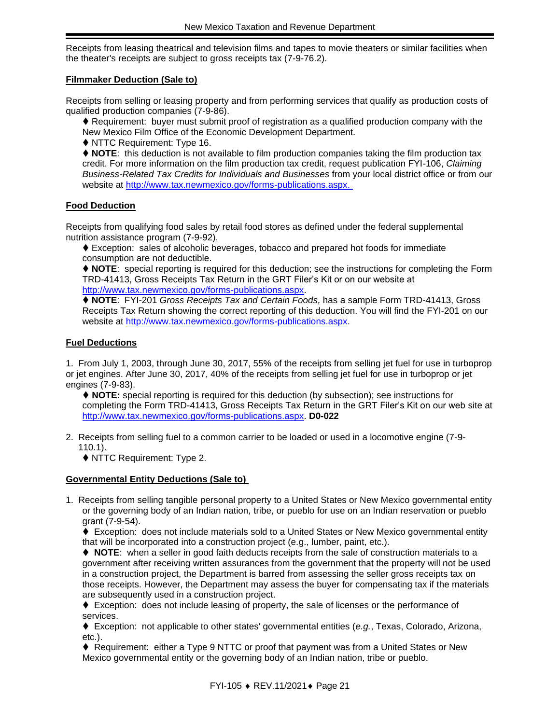Receipts from leasing theatrical and television films and tapes to movie theaters or similar facilities when the theater's receipts are subject to gross receipts tax (7-9-76.2).

#### **Filmmaker Deduction (Sale to)**

Receipts from selling or leasing property and from performing services that qualify as production costs of qualified production companies (7-9-86).

♦ Requirement: buyer must submit proof of registration as a qualified production company with the New Mexico Film Office of the Economic Development Department.

◆ NTTC Requirement: Type 16.

⧫ **NOTE**: this deduction is not available to film production companies taking the film production tax credit. For more information on the film production tax credit, request publication FYI-106, *Claiming Business-Related Tax Credits for Individuals and Businesses* from your local district office or from our website at [http://www.tax.newmexico.gov/forms-publications.aspx.](http://www.tax.newmexico.gov/forms-publications.aspx)

#### **Food Deduction**

Receipts from qualifying food sales by retail food stores as defined under the federal supplemental nutrition assistance program (7-9-92).

♦ Exception: sales of alcoholic beverages, tobacco and prepared hot foods for immediate consumption are not deductible.

⧫ **NOTE**: special reporting is required for this deduction; see the instructions for completing the Form TRD-41413, Gross Receipts Tax Return in the GRT Filer's Kit or on our website at http://www.tax.newmexico.gov/forms-publications.aspx.

⧫ **NOTE**: FYI-201 *Gross Receipts Tax and Certain Foods,* has a sample Form TRD-41413, Gross Receipts Tax Return showing the correct reporting of this deduction. You will find the FYI-201 on our website at [http://www.tax.newmexico.gov/forms-publications.aspx.](http://www.tax.newmexico.gov/forms-publications.aspx)

#### **Fuel Deductions**

1. From July 1, 2003, through June 30, 2017, 55% of the receipts from selling jet fuel for use in turboprop or jet engines. After June 30, 2017, 40% of the receipts from selling jet fuel for use in turboprop or jet engines (7-9-83).

⧫ **NOTE:** special reporting is required for this deduction (by subsection); see instructions for completing the Form TRD-41413, Gross Receipts Tax Return in the GRT Filer's Kit on our web site at [http://www.tax.newmexico.gov/forms-publications.aspx.](http://www.tax.newmexico.gov/forms-publications.aspx) **D0-022**

2. Receipts from selling fuel to a common carrier to be loaded or used in a locomotive engine (7-9- 110.1).

◆ NTTC Requirement: Type 2.

#### **Governmental Entity Deductions (Sale to)**

1. Receipts from selling tangible personal property to a United States or New Mexico governmental entity or the governing body of an Indian nation, tribe, or pueblo for use on an Indian reservation or pueblo grant (7-9-54).

♦ Exception: does not include materials sold to a United States or New Mexico governmental entity that will be incorporated into a construction project (e.g., lumber, paint, etc.).

♦ **NOTE**: when a seller in good faith deducts receipts from the sale of construction materials to a government after receiving written assurances from the government that the property will not be used in a construction project, the Department is barred from assessing the seller gross receipts tax on those receipts. However, the Department may assess the buyer for compensating tax if the materials are subsequently used in a construction project.

♦ Exception: does not include leasing of property, the sale of licenses or the performance of services.

⧫ Exception: not applicable to other states' governmental entities (*e.g.*, Texas, Colorado, Arizona, etc.).

♦ Requirement: either a Type 9 NTTC or proof that payment was from a United States or New Mexico governmental entity or the governing body of an Indian nation, tribe or pueblo.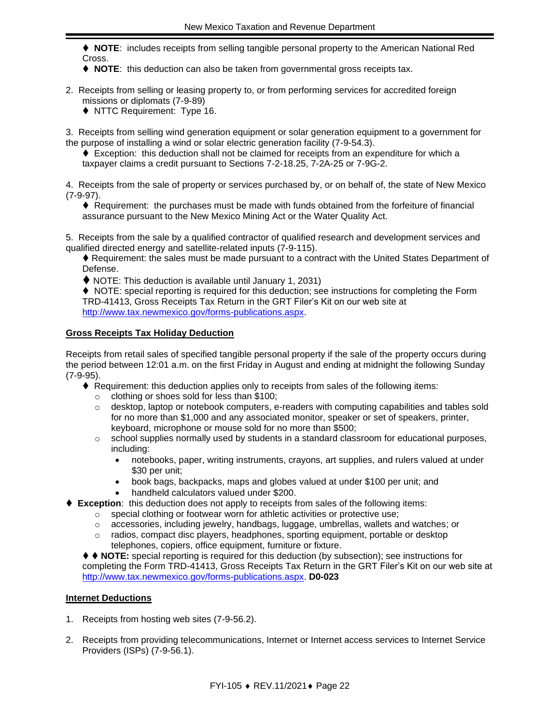⧫ **NOTE**: includes receipts from selling tangible personal property to the American National Red Cross.

- ◆ **NOTE**: this deduction can also be taken from governmental gross receipts tax.
- 2. Receipts from selling or leasing property to, or from performing services for accredited foreign missions or diplomats (7-9-89)
	- ◆ NTTC Requirement: Type 16.

3. Receipts from selling wind generation equipment or solar generation equipment to a government for the purpose of installing a wind or solar electric generation facility (7-9-54.3).

♦ Exception: this deduction shall not be claimed for receipts from an expenditure for which a taxpayer claims a credit pursuant to Sections 7-2-18.25, 7-2A-25 or 7-9G-2.

4. Receipts from the sale of property or services purchased by, or on behalf of, the state of New Mexico (7-9-97).

♦ Requirement: the purchases must be made with funds obtained from the forfeiture of financial assurance pursuant to the New Mexico Mining Act or the Water Quality Act.

5. Receipts from the sale by a qualified contractor of qualified research and development services and qualified directed energy and satellite-related inputs (7-9-115).

♦ Requirement: the sales must be made pursuant to a contract with the United States Department of Defense.

⧫ NOTE: This deduction is available until January 1, 2031)

♦ NOTE: special reporting is required for this deduction; see instructions for completing the Form TRD-41413, Gross Receipts Tax Return in the GRT Filer's Kit on our web site at [http://www.tax.newmexico.gov/forms-publications.aspx.](http://www.tax.newmexico.gov/forms-publications.aspx)

#### **Gross Receipts Tax Holiday Deduction**

Receipts from retail sales of specified tangible personal property if the sale of the property occurs during the period between 12:01 a.m. on the first Friday in August and ending at midnight the following Sunday (7-9-95).

- ♦ Requirement: this deduction applies only to receipts from sales of the following items:
	- o clothing or shoes sold for less than \$100;
	- o desktop, laptop or notebook computers, e-readers with computing capabilities and tables sold for no more than \$1,000 and any associated monitor, speaker or set of speakers, printer, keyboard, microphone or mouse sold for no more than \$500;
	- $\circ$  school supplies normally used by students in a standard classroom for educational purposes, including:
		- notebooks, paper, writing instruments, crayons, art supplies, and rulers valued at under \$30 per unit;
		- book bags, backpacks, maps and globes valued at under \$100 per unit; and
		- handheld calculators valued under \$200.
- **Exception:** this deduction does not apply to receipts from sales of the following items:
	- o special clothing or footwear worn for athletic activities or protective use;
	- $\circ$  accessories, including jewelry, handbags, luggage, umbrellas, wallets and watches; or
	- $\circ$  radios, compact disc players, headphones, sporting equipment, portable or desktop telephones, copiers, office equipment, furniture or fixture.

⧫ ⧫ **NOTE:** special reporting is required for this deduction (by subsection); see instructions for completing the Form TRD-41413, Gross Receipts Tax Return in the GRT Filer's Kit on our web site at [http://www.tax.newmexico.gov/forms-publications.aspx.](http://www.tax.newmexico.gov/forms-publications.aspx) **D0-023**

#### **Internet Deductions**

- 1. Receipts from hosting web sites (7-9-56.2).
- 2. Receipts from providing telecommunications, Internet or Internet access services to Internet Service Providers (ISPs) (7-9-56.1).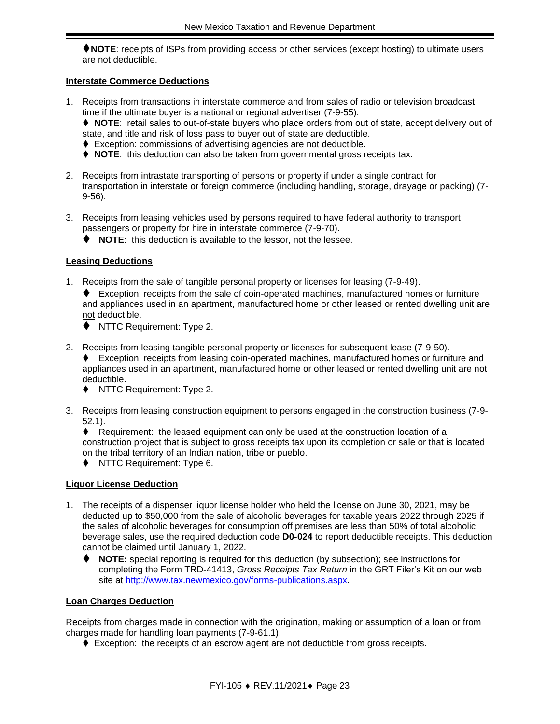⧫**NOTE**: receipts of ISPs from providing access or other services (except hosting) to ultimate users are not deductible.

#### **Interstate Commerce Deductions**

1. Receipts from transactions in interstate commerce and from sales of radio or television broadcast time if the ultimate buyer is a national or regional advertiser (7-9-55).

⧫ **NOTE**: retail sales to out-of-state buyers who place orders from out of state, accept delivery out of state, and title and risk of loss pass to buyer out of state are deductible.

- ♦ Exception: commissions of advertising agencies are not deductible.
- ⧫ **NOTE**: this deduction can also be taken from governmental gross receipts tax.
- 2. Receipts from intrastate transporting of persons or property if under a single contract for transportation in interstate or foreign commerce (including handling, storage, drayage or packing) (7- 9-56).
- 3. Receipts from leasing vehicles used by persons required to have federal authority to transport passengers or property for hire in interstate commerce (7-9-70).

⧫ **NOTE**: this deduction is available to the lessor, not the lessee.

#### **Leasing Deductions**

- 1. Receipts from the sale of tangible personal property or licenses for leasing (7-9-49).
	- ⧫ Exception: receipts from the sale of coin-operated machines, manufactured homes or furniture and appliances used in an apartment, manufactured home or other leased or rented dwelling unit are not deductible.
	- ◆ NTTC Requirement: Type 2.
- 2. Receipts from leasing tangible personal property or licenses for subsequent lease (7-9-50).
	- ⧫ Exception: receipts from leasing coin-operated machines, manufactured homes or furniture and appliances used in an apartment, manufactured home or other leased or rented dwelling unit are not deductible.
		- ◆ NTTC Requirement: Type 2.
- 3. Receipts from leasing construction equipment to persons engaged in the construction business (7-9- 52.1).

⧫ Requirement: the leased equipment can only be used at the construction location of a construction project that is subject to gross receipts tax upon its completion or sale or that is located on the tribal territory of an Indian nation, tribe or pueblo.

◆ NTTC Requirement: Type 6.

#### **Liquor License Deduction**

- 1. The receipts of a dispenser liquor license holder who held the license on June 30, 2021, may be deducted up to \$50,000 from the sale of alcoholic beverages for taxable years 2022 through 2025 if the sales of alcoholic beverages for consumption off premises are less than 50% of total alcoholic beverage sales, use the required deduction code **D0-024** to report deductible receipts. This deduction cannot be claimed until January 1, 2022.
	- NOTE: special reporting is required for this deduction (by subsection); see instructions for completing the Form TRD-41413, *Gross Receipts Tax Return* in the GRT Filer's Kit on our web site at [http://www.tax.newmexico.gov/forms-publications.aspx.](http://www.tax.newmexico.gov/forms-publications.aspx)

#### **Loan Charges Deduction**

Receipts from charges made in connection with the origination, making or assumption of a loan or from charges made for handling loan payments (7-9-61.1).

♦ Exception: the receipts of an escrow agent are not deductible from gross receipts.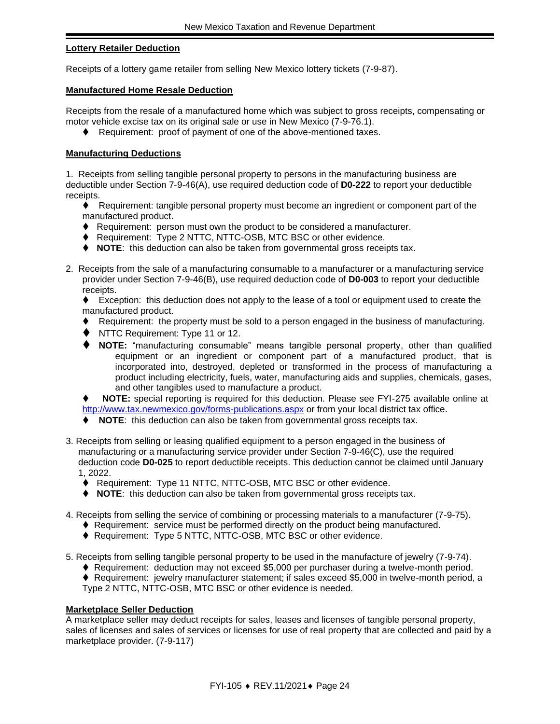#### **Lottery Retailer Deduction**

Receipts of a lottery game retailer from selling New Mexico lottery tickets (7-9-87).

#### **Manufactured Home Resale Deduction**

Receipts from the resale of a manufactured home which was subject to gross receipts, compensating or motor vehicle excise tax on its original sale or use in New Mexico (7-9-76.1).

♦ Requirement: proof of payment of one of the above-mentioned taxes.

#### **Manufacturing Deductions**

1. Receipts from selling tangible personal property to persons in the manufacturing business are deductible under Section 7-9-46(A), use required deduction code of **D0-222** to report your deductible receipts.

◆ Requirement: tangible personal property must become an ingredient or component part of the manufactured product.

- ⧫ Requirement: person must own the product to be considered a manufacturer.
- ◆ Requirement: Type 2 NTTC, NTTC-OSB, MTC BSC or other evidence.
- ⧫ **NOTE**: this deduction can also be taken from governmental gross receipts tax.
- 2. Receipts from the sale of a manufacturing consumable to a manufacturer or a manufacturing service provider under Section 7-9-46(B), use required deduction code of **D0-003** to report your deductible receipts.

◆ Exception: this deduction does not apply to the lease of a tool or equipment used to create the manufactured product.

- ⧫ Requirement: the property must be sold to a person engaged in the business of manufacturing.
- ⧫ NTTC Requirement: Type 11 or 12.
- ⧫ **NOTE:** "manufacturing consumable" means tangible personal property, other than qualified equipment or an ingredient or component part of a manufactured product, that is incorporated into, destroyed, depleted or transformed in the process of manufacturing a product including electricity, fuels, water, manufacturing aids and supplies, chemicals, gases, and other tangibles used to manufacture a product.

NOTE: special reporting is required for this deduction. Please see FYI-275 available online at <http://www.tax.newmexico.gov/forms-publications.aspx> or from your local district tax office.

- ⧫ **NOTE**: this deduction can also be taken from governmental gross receipts tax.
- 3. Receipts from selling or leasing qualified equipment to a person engaged in the business of manufacturing or a manufacturing service provider under Section 7-9-46(C), use the required deduction code **D0-025** to report deductible receipts. This deduction cannot be claimed until January 1, 2022.
	- ◆ Requirement: Type 11 NTTC, NTTC-OSB, MTC BSC or other evidence.
	- ⧫ **NOTE**: this deduction can also be taken from governmental gross receipts tax.
- 4. Receipts from selling the service of combining or processing materials to a manufacturer (7-9-75).
	- ♦ Requirement: service must be performed directly on the product being manufactured.
	- ◆ Requirement: Type 5 NTTC, NTTC-OSB, MTC BSC or other evidence.
- 5. Receipts from selling tangible personal property to be used in the manufacture of jewelry (7-9-74).
	- ◆ Requirement: deduction may not exceed \$5,000 per purchaser during a twelve-month period.

◆ Requirement: jewelry manufacturer statement; if sales exceed \$5,000 in twelve-month period, a Type 2 NTTC, NTTC-OSB, MTC BSC or other evidence is needed.

#### **Marketplace Seller Deduction**

A marketplace seller may deduct receipts for sales, leases and licenses of tangible personal property, sales of licenses and sales of services or licenses for use of real property that are collected and paid by a marketplace provider. (7-9-117)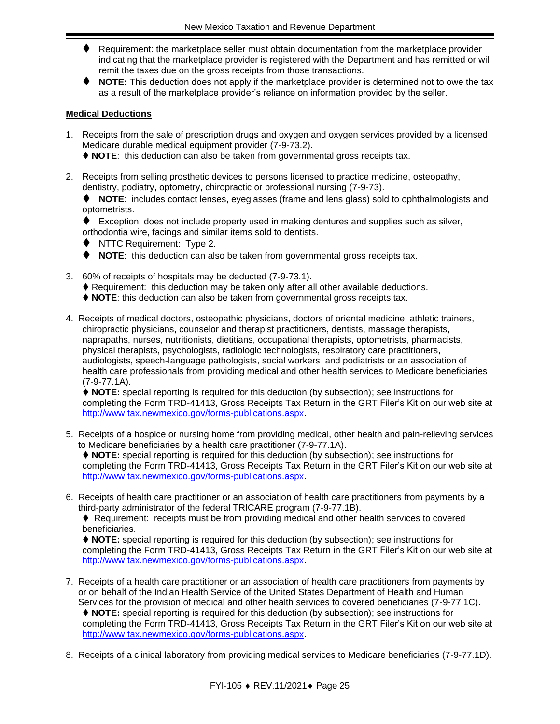- ♦ Requirement: the marketplace seller must obtain documentation from the marketplace provider indicating that the marketplace provider is registered with the Department and has remitted or will remit the taxes due on the gross receipts from those transactions.
- ⧫ **NOTE:** This deduction does not apply if the marketplace provider is determined not to owe the tax as a result of the marketplace provider's reliance on information provided by the seller.

#### **Medical Deductions**

- 1. Receipts from the sale of prescription drugs and oxygen and oxygen services provided by a licensed Medicare durable medical equipment provider (7-9-73.2).
	- ⧫ **NOTE**: this deduction can also be taken from governmental gross receipts tax.
- 2. Receipts from selling prosthetic devices to persons licensed to practice medicine, osteopathy, dentistry, podiatry, optometry, chiropractic or professional nursing (7-9-73).

⧫ **NOTE**: includes contact lenses, eyeglasses (frame and lens glass) sold to ophthalmologists and optometrists.

◆ Exception: does not include property used in making dentures and supplies such as silver, orthodontia wire, facings and similar items sold to dentists.

- ⧫ NTTC Requirement: Type 2.
- ⧫ **NOTE**: this deduction can also be taken from governmental gross receipts tax.
- 3. 60% of receipts of hospitals may be deducted (7-9-73.1).
	- ♦ Requirement: this deduction may be taken only after all other available deductions.
	- ◆ **NOTE**: this deduction can also be taken from governmental gross receipts tax.
- 4. Receipts of medical doctors, osteopathic physicians, doctors of oriental medicine, athletic trainers, chiropractic physicians, counselor and therapist practitioners, dentists, massage therapists, naprapaths, nurses, nutritionists, dietitians, occupational therapists, optometrists, pharmacists, physical therapists, psychologists, radiologic technologists, respiratory care practitioners, audiologists, speech-language pathologists, social workers and podiatrists or an association of health care professionals from providing medical and other health services to Medicare beneficiaries (7-9-77.1A).

⧫ **NOTE:** special reporting is required for this deduction (by subsection); see instructions for completing the Form TRD-41413, Gross Receipts Tax Return in the GRT Filer's Kit on our web site at [http://www.tax.newmexico.gov/forms-publications.aspx.](http://www.tax.newmexico.gov/forms-publications.aspx)

5. Receipts of a hospice or nursing home from providing medical, other health and pain-relieving services to Medicare beneficiaries by a health care practitioner (7-9-77.1A).

⧫ **NOTE:** special reporting is required for this deduction (by subsection); see instructions for completing the Form TRD-41413, Gross Receipts Tax Return in the GRT Filer's Kit on our web site at [http://www.tax.newmexico.gov/forms-publications.aspx.](http://www.tax.newmexico.gov/forms-publications.aspx)

6. Receipts of health care practitioner or an association of health care practitioners from payments by a third-party administrator of the federal TRICARE program (7-9-77.1B).

♦ Requirement: receipts must be from providing medical and other health services to covered beneficiaries.

⧫ **NOTE:** special reporting is required for this deduction (by subsection); see instructions for completing the Form TRD-41413, Gross Receipts Tax Return in the GRT Filer's Kit on our web site at [http://www.tax.newmexico.gov/forms-publications.aspx.](http://www.tax.newmexico.gov/forms-publications.aspx)

7. Receipts of a health care practitioner or an association of health care practitioners from payments by or on behalf of the Indian Health Service of the United States Department of Health and Human Services for the provision of medical and other health services to covered beneficiaries (7-9-77.1C).

⧫ **NOTE:** special reporting is required for this deduction (by subsection); see instructions for completing the Form TRD-41413, Gross Receipts Tax Return in the GRT Filer's Kit on our web site at [http://www.tax.newmexico.gov/forms-publications.aspx.](http://www.tax.newmexico.gov/forms-publications.aspx)

8. Receipts of a clinical laboratory from providing medical services to Medicare beneficiaries (7-9-77.1D).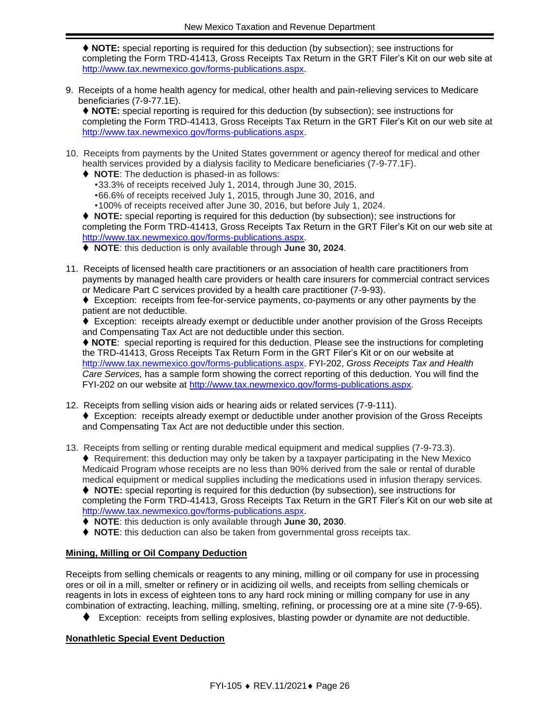⧫ **NOTE:** special reporting is required for this deduction (by subsection); see instructions for completing the Form TRD-41413, Gross Receipts Tax Return in the GRT Filer's Kit on our web site at [http://www.tax.newmexico.gov/forms-publications.aspx.](http://www.tax.newmexico.gov/forms-publications.aspx)

9. Receipts of a home health agency for medical, other health and pain-relieving services to Medicare beneficiaries (7-9-77.1E).

⧫ **NOTE:** special reporting is required for this deduction (by subsection); see instructions for completing the Form TRD-41413, Gross Receipts Tax Return in the GRT Filer's Kit on our web site at [http://www.tax.newmexico.gov/forms-publications.aspx.](http://www.tax.newmexico.gov/forms-publications.aspx)

- 10. Receipts from payments by the United States government or agency thereof for medical and other health services provided by a dialysis facility to Medicare beneficiaries (7-9-77.1F).
	- ⧫ **NOTE**: The deduction is phased-in as follows:
		- •33.3% of receipts received July 1, 2014, through June 30, 2015.
		- •66.6% of receipts received July 1, 2015, through June 30, 2016, and
		- •100% of receipts received after June 30, 2016, but before July 1, 2024.

⧫ **NOTE:** special reporting is required for this deduction (by subsection); see instructions for completing the Form TRD-41413, Gross Receipts Tax Return in the GRT Filer's Kit on our web site at [http://www.tax.newmexico.gov/forms-publications.aspx.](http://www.tax.newmexico.gov/forms-publications.aspx)

⧫ **NOTE**: this deduction is only available through **June 30, 2024**.

11. Receipts of licensed health care practitioners or an association of health care practitioners from payments by managed health care providers or health care insurers for commercial contract services or Medicare Part C services provided by a health care practitioner (7-9-93).

♦ Exception: receipts from fee-for-service payments, co-payments or any other payments by the patient are not deductible.

◆ Exception: receipts already exempt or deductible under another provision of the Gross Receipts and Compensating Tax Act are not deductible under this section.

⧫ **NOTE**: special reporting is required for this deduction. Please see the instructions for completing the TRD-41413, Gross Receipts Tax Return Form in the GRT Filer's Kit or on our website at http://www.tax.newmexico.gov/forms-publications.aspx. FYI-202, *Gross Receipts Tax and Health Care Services,* has a sample form showing the correct reporting of this deduction. You will find the FYI-202 on our website at [http://www.tax.newmexico.gov/forms-publications.aspx.](http://www.tax.newmexico.gov/forms-publications.aspx)

- 12. Receipts from selling vision aids or hearing aids or related services (7-9-111). ♦ Exception: receipts already exempt or deductible under another provision of the Gross Receipts and Compensating Tax Act are not deductible under this section.
- 13. Receipts from selling or renting durable medical equipment and medical supplies (7-9-73.3).

♦ Requirement: this deduction may only be taken by a taxpayer participating in the New Mexico Medicaid Program whose receipts are no less than 90% derived from the sale or rental of durable medical equipment or medical supplies including the medications used in infusion therapy services.

⧫ **NOTE:** special reporting is required for this deduction (by subsection), see instructions for completing the Form TRD-41413, Gross Receipts Tax Return in the GRT Filer's Kit on our web site at [http://www.tax.newmexico.gov/forms-publications.aspx.](http://www.tax.newmexico.gov/forms-publications.aspx)

⧫ **NOTE**: this deduction is only available through **June 30, 2030**.

◆ **NOTE**: this deduction can also be taken from governmental gross receipts tax.

#### **Mining, Milling or Oil Company Deduction**

Receipts from selling chemicals or reagents to any mining, milling or oil company for use in processing ores or oil in a mill, smelter or refinery or in acidizing oil wells, and receipts from selling chemicals or reagents in lots in excess of eighteen tons to any hard rock mining or milling company for use in any combination of extracting, leaching, milling, smelting, refining, or processing ore at a mine site (7-9-65).

⧫ Exception: receipts from selling explosives, blasting powder or dynamite are not deductible.

#### **Nonathletic Special Event Deduction**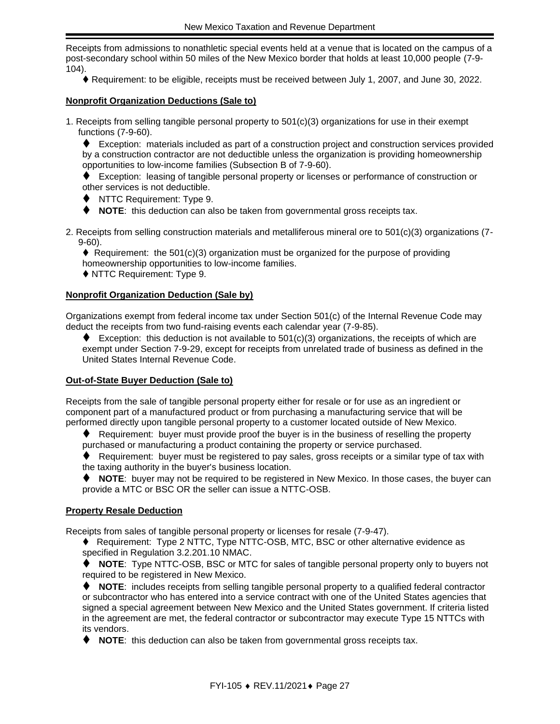Receipts from admissions to nonathletic special events held at a venue that is located on the campus of a post-secondary school within 50 miles of the New Mexico border that holds at least 10,000 people (7-9- 104).

⧫ Requirement: to be eligible, receipts must be received between July 1, 2007, and June 30, 2022.

#### **Nonprofit Organization Deductions (Sale to)**

1. Receipts from selling tangible personal property to 501(c)(3) organizations for use in their exempt functions (7-9-60).

⧫ Exception: materials included as part of a construction project and construction services provided by a construction contractor are not deductible unless the organization is providing homeownership opportunities to low-income families (Subsection B of 7-9-60).

◆ Exception: leasing of tangible personal property or licenses or performance of construction or other services is not deductible.

- ⧫ NTTC Requirement: Type 9.
- ⧫ **NOTE**: this deduction can also be taken from governmental gross receipts tax.
- 2. Receipts from selling construction materials and metalliferous mineral ore to 501(c)(3) organizations (7- 9-60).

 $\blacklozenge$  Requirement: the 501(c)(3) organization must be organized for the purpose of providing homeownership opportunities to low-income families.

◆ NTTC Requirement: Type 9.

#### **Nonprofit Organization Deduction (Sale by)**

Organizations exempt from federal income tax under Section 501(c) of the Internal Revenue Code may deduct the receipts from two fund-raising events each calendar year (7-9-85).

 $\blacklozenge$  Exception: this deduction is not available to 501(c)(3) organizations, the receipts of which are exempt under Section 7-9-29, except for receipts from unrelated trade of business as defined in the United States Internal Revenue Code.

#### <span id="page-26-0"></span>**Out-of-State Buyer Deduction (Sale to)**

Receipts from the sale of tangible personal property either for resale or for use as an ingredient or component part of a manufactured product or from purchasing a manufacturing service that will be performed directly upon tangible personal property to a customer located outside of New Mexico.

- ⧫ Requirement: buyer must provide proof the buyer is in the business of reselling the property purchased or manufacturing a product containing the property or service purchased.
- ◆ Requirement: buyer must be registered to pay sales, gross receipts or a similar type of tax with the taxing authority in the buyer's business location.
- ◆ **NOTE**: buyer may not be required to be registered in New Mexico. In those cases, the buyer can provide a MTC or BSC OR the seller can issue a NTTC-OSB.

#### **Property Resale Deduction**

Receipts from sales of tangible personal property or licenses for resale (7-9-47).

◆ Requirement: Type 2 NTTC, Type NTTC-OSB, MTC, BSC or other alternative evidence as specified in Regulation 3.2.201.10 NMAC.

⧫ **NOTE**: Type NTTC-OSB, BSC or MTC for sales of tangible personal property only to buyers not required to be registered in New Mexico.

⧫ **NOTE**: includes receipts from selling tangible personal property to a qualified federal contractor or subcontractor who has entered into a service contract with one of the United States agencies that signed a special agreement between New Mexico and the United States government. If criteria listed in the agreement are met, the federal contractor or subcontractor may execute Type 15 NTTCs with its vendors.

⧫ **NOTE**: this deduction can also be taken from governmental gross receipts tax.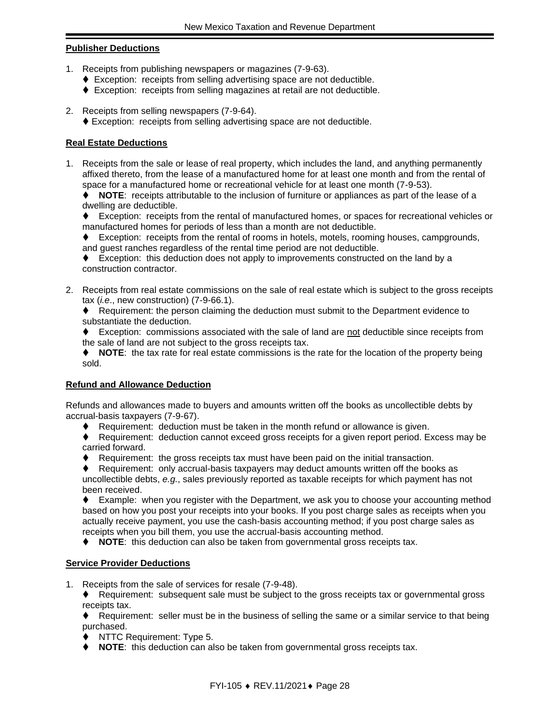#### **Publisher Deductions**

- 1. Receipts from publishing newspapers or magazines (7-9-63).
	- ♦ Exception: receipts from selling advertising space are not deductible.
	- ♦ Exception: receipts from selling magazines at retail are not deductible.
- 2. Receipts from selling newspapers (7-9-64).
	- ♦ Exception: receipts from selling advertising space are not deductible.

#### **Real Estate Deductions**

1. Receipts from the sale or lease of real property, which includes the land, and anything permanently affixed thereto, from the lease of a manufactured home for at least one month and from the rental of space for a manufactured home or recreational vehicle for at least one month (7-9-53).

⧫ **NOTE**: receipts attributable to the inclusion of furniture or appliances as part of the lease of a dwelling are deductible.

⧫ Exception: receipts from the rental of manufactured homes, or spaces for recreational vehicles or manufactured homes for periods of less than a month are not deductible.

⧫ Exception: receipts from the rental of rooms in hotels, motels, rooming houses, campgrounds,

and guest ranches regardless of the rental time period are not deductible. ♦ Exception: this deduction does not apply to improvements constructed on the land by a

construction contractor.

2. Receipts from real estate commissions on the sale of real estate which is subject to the gross receipts tax (*i.e*., new construction) (7-9-66.1).

⧫ Requirement: the person claiming the deduction must submit to the Department evidence to substantiate the deduction.

♦ Exception: commissions associated with the sale of land are not deductible since receipts from the sale of land are not subject to the gross receipts tax.

⧫ **NOTE**: the tax rate for real estate commissions is the rate for the location of the property being sold.

#### **Refund and Allowance Deduction**

Refunds and allowances made to buyers and amounts written off the books as uncollectible debts by accrual-basis taxpayers (7-9-67).

- ♦ Requirement: deduction must be taken in the month refund or allowance is given.
- ⧫ Requirement: deduction cannot exceed gross receipts for a given report period. Excess may be carried forward.
- ♦ Requirement: the gross receipts tax must have been paid on the initial transaction.

Requirement: only accrual-basis taxpayers may deduct amounts written off the books as uncollectible debts, *e.g.*, sales previously reported as taxable receipts for which payment has not been received.

◆ Example: when you register with the Department, we ask you to choose your accounting method based on how you post your receipts into your books. If you post charge sales as receipts when you actually receive payment, you use the cash-basis accounting method; if you post charge sales as receipts when you bill them, you use the accrual-basis accounting method.

⧫ **NOTE**: this deduction can also be taken from governmental gross receipts tax.

#### **Service Provider Deductions**

1. Receipts from the sale of services for resale (7-9-48).

⧫ Requirement: subsequent sale must be subject to the gross receipts tax or governmental gross receipts tax.

♦ Requirement: seller must be in the business of selling the same or a similar service to that being purchased.

- ⧫ NTTC Requirement: Type 5.
- ⧫ **NOTE**: this deduction can also be taken from governmental gross receipts tax.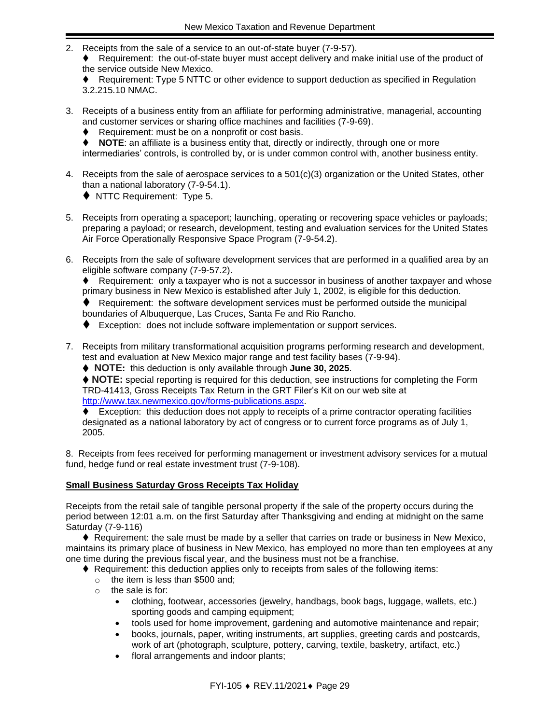- 2. Receipts from the sale of a service to an out-of-state buyer (7-9-57).
	- ⧫ Requirement: the out-of-state buyer must accept delivery and make initial use of the product of the service outside New Mexico.

♦ Requirement: Type 5 NTTC or other evidence to support deduction as specified in Regulation 3.2.215.10 NMAC.

- 3. Receipts of a business entity from an affiliate for performing administrative, managerial, accounting and customer services or sharing office machines and facilities (7-9-69).
	- ⧫ Requirement: must be on a nonprofit or cost basis.
	- **NOTE:** an affiliate is a business entity that, directly or indirectly, through one or more intermediaries' controls, is controlled by, or is under common control with, another business entity.
- 4. Receipts from the sale of aerospace services to a 501(c)(3) organization or the United States, other than a national laboratory (7-9-54.1).
	- ◆ NTTC Requirement: Type 5.
- 5. Receipts from operating a spaceport; launching, operating or recovering space vehicles or payloads; preparing a payload; or research, development, testing and evaluation services for the United States Air Force Operationally Responsive Space Program (7-9-54.2).
- 6. Receipts from the sale of software development services that are performed in a qualified area by an eligible software company (7-9-57.2).

◆ Requirement: only a taxpayer who is not a successor in business of another taxpayer and whose primary business in New Mexico is established after July 1, 2002, is eligible for this deduction.

⧫ Requirement: the software development services must be performed outside the municipal boundaries of Albuquerque, Las Cruces, Santa Fe and Rio Rancho.

♦ Exception: does not include software implementation or support services.

7. Receipts from military transformational acquisition programs performing research and development, test and evaluation at New Mexico major range and test facility bases (7-9-94).

⧫ **NOTE:** this deduction is only available through **June 30, 2025**.

♦ NOTE: special reporting is required for this deduction, see instructions for completing the Form TRD-41413, Gross Receipts Tax Return in the GRT Filer's Kit on our web site at [http://www.tax.newmexico.gov/forms-publications.aspx.](http://www.tax.newmexico.gov/forms-publications.aspx)

♦ Exception: this deduction does not apply to receipts of a prime contractor operating facilities designated as a national laboratory by act of congress or to current force programs as of July 1, 2005.

8. Receipts from fees received for performing management or investment advisory services for a mutual fund, hedge fund or real estate investment trust (7-9-108).

#### **Small Business Saturday Gross Receipts Tax Holiday**

Receipts from the retail sale of tangible personal property if the sale of the property occurs during the period between 12:01 a.m. on the first Saturday after Thanksgiving and ending at midnight on the same Saturday (7-9-116)

♦ Requirement: the sale must be made by a seller that carries on trade or business in New Mexico, maintains its primary place of business in New Mexico, has employed no more than ten employees at any one time during the previous fiscal year, and the business must not be a franchise.

- ♦ Requirement: this deduction applies only to receipts from sales of the following items:
	- $\circ$  the item is less than \$500 and:
	- o the sale is for:
		- clothing, footwear, accessories (jewelry, handbags, book bags, luggage, wallets, etc.) sporting goods and camping equipment;
		- tools used for home improvement, gardening and automotive maintenance and repair;
		- books, journals, paper, writing instruments, art supplies, greeting cards and postcards, work of art (photograph, sculpture, pottery, carving, textile, basketry, artifact, etc.)
		- floral arrangements and indoor plants;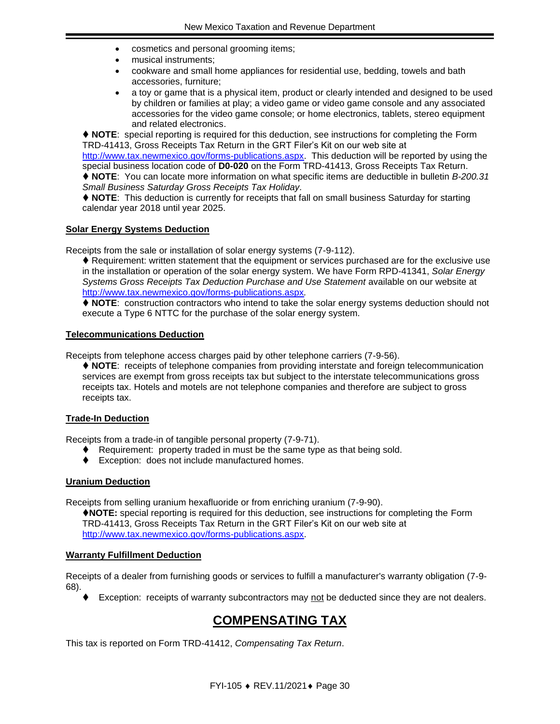- cosmetics and personal grooming items;
- musical instruments;
- cookware and small home appliances for residential use, bedding, towels and bath accessories, furniture;
- a toy or game that is a physical item, product or clearly intended and designed to be used by children or families at play; a video game or video game console and any associated accessories for the video game console; or home electronics, tablets, stereo equipment and related electronics.

⧫ **NOTE**: special reporting is required for this deduction, see instructions for completing the Form TRD-41413, Gross Receipts Tax Return in the GRT Filer's Kit on our web site at

[http://www.tax.newmexico.gov/forms-publications.aspx.](http://www.tax.newmexico.gov/forms-publications.aspx) This deduction will be reported by using the special business location code of **D0-020** on the Form TRD-41413, Gross Receipts Tax Return.

⧫ **NOTE**: You can locate more information on what specific items are deductible in bulletin *B-200.31 Small Business Saturday Gross Receipts Tax Holiday.*

⧫ **NOTE**: This deduction is currently for receipts that fall on small business Saturday for starting calendar year 2018 until year 2025.

#### **Solar Energy Systems Deduction**

Receipts from the sale or installation of solar energy systems (7-9-112).

⧫ Requirement: written statement that the equipment or services purchased are for the exclusive use in the installation or operation of the solar energy system. We have Form RPD-41341, *Solar Energy*  Systems Gross Receipts Tax Deduction Purchase and Use Statement available on our website at <http://www.tax.newmexico.gov/forms-publications.aspx>*.*

⧫ **NOTE**: construction contractors who intend to take the solar energy systems deduction should not execute a Type 6 NTTC for the purchase of the solar energy system.

#### **Telecommunications Deduction**

Receipts from telephone access charges paid by other telephone carriers (7-9-56).

⧫ **NOTE**: receipts of telephone companies from providing interstate and foreign telecommunication services are exempt from gross receipts tax but subject to the interstate telecommunications gross receipts tax. Hotels and motels are not telephone companies and therefore are subject to gross receipts tax.

#### **Trade-In Deduction**

Receipts from a trade-in of tangible personal property (7-9-71).

- ♦ Requirement: property traded in must be the same type as that being sold.
- ⧫ Exception: does not include manufactured homes.

#### **Uranium Deduction**

Receipts from selling uranium hexafluoride or from enriching uranium (7-9-90).

⧫**NOTE:** special reporting is required for this deduction, see instructions for completing the Form TRD-41413, Gross Receipts Tax Return in the GRT Filer's Kit on our web site at [http://www.tax.newmexico.gov/forms-publications.aspx.](http://www.tax.newmexico.gov/forms-publications.aspx)

#### **Warranty Fulfillment Deduction**

Receipts of a dealer from furnishing goods or services to fulfill a manufacturer's warranty obligation (7-9- 68).

Exception: receipts of warranty subcontractors may not be deducted since they are not dealers.

## **COMPENSATING TAX**

<span id="page-29-0"></span>This tax is reported on Form TRD-41412, *Compensating Tax Return*.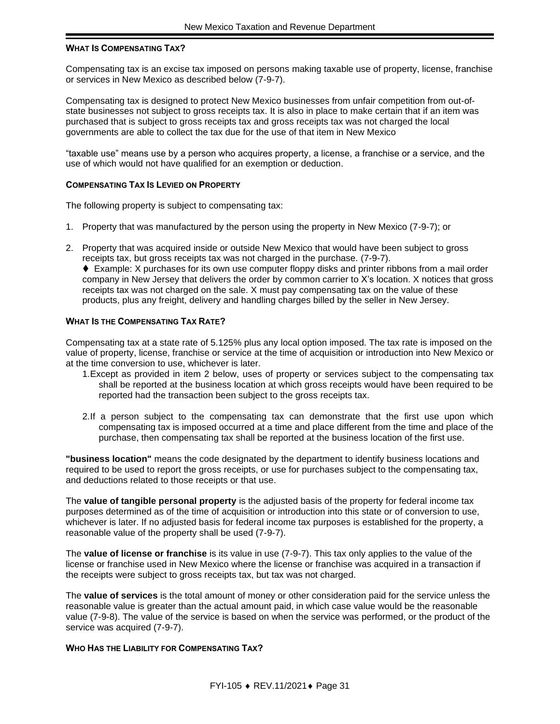#### **WHAT IS COMPENSATING TAX?**

Compensating tax is an excise tax imposed on persons making taxable use of property, license, franchise or services in New Mexico as described below (7-9-7).

Compensating tax is designed to protect New Mexico businesses from unfair competition from out-ofstate businesses not subject to gross receipts tax. It is also in place to make certain that if an item was purchased that is subject to gross receipts tax and gross receipts tax was not charged the local governments are able to collect the tax due for the use of that item in New Mexico

"taxable use" means use by a person who acquires property, a license, a franchise or a service, and the use of which would not have qualified for an exemption or deduction.

#### **COMPENSATING TAX IS LEVIED ON PROPERTY**

The following property is subject to compensating tax:

- 1. Property that was manufactured by the person using the property in New Mexico (7-9-7); or
- 2. Property that was acquired inside or outside New Mexico that would have been subject to gross receipts tax, but gross receipts tax was not charged in the purchase. (7-9-7).

♦ Example: X purchases for its own use computer floppy disks and printer ribbons from a mail order company in New Jersey that delivers the order by common carrier to X's location. X notices that gross receipts tax was not charged on the sale. X must pay compensating tax on the value of these products, plus any freight, delivery and handling charges billed by the seller in New Jersey.

#### **WHAT IS THE COMPENSATING TAX RATE?**

Compensating tax at a state rate of 5.125% plus any local option imposed. The tax rate is imposed on the value of property, license, franchise or service at the time of acquisition or introduction into New Mexico or at the time conversion to use, whichever is later.

- 1.Except as provided in item 2 below, uses of property or services subject to the compensating tax shall be reported at the business location at which gross receipts would have been required to be reported had the transaction been subject to the gross receipts tax.
- 2.If a person subject to the compensating tax can demonstrate that the first use upon which compensating tax is imposed occurred at a time and place different from the time and place of the purchase, then compensating tax shall be reported at the business location of the first use.

**"business location"** means the code designated by the department to identify business locations and required to be used to report the gross receipts, or use for purchases subject to the compensating tax, and deductions related to those receipts or that use.

The **value of tangible personal property** is the adjusted basis of the property for federal income tax purposes determined as of the time of acquisition or introduction into this state or of conversion to use, whichever is later. If no adjusted basis for federal income tax purposes is established for the property, a reasonable value of the property shall be used (7-9-7).

The **value of license or franchise** is its value in use (7-9-7). This tax only applies to the value of the license or franchise used in New Mexico where the license or franchise was acquired in a transaction if the receipts were subject to gross receipts tax, but tax was not charged.

The **value of services** is the total amount of money or other consideration paid for the service unless the reasonable value is greater than the actual amount paid, in which case value would be the reasonable value (7-9-8). The value of the service is based on when the service was performed, or the product of the service was acquired (7-9-7).

#### **WHO HAS THE LIABILITY FOR COMPENSATING TAX?**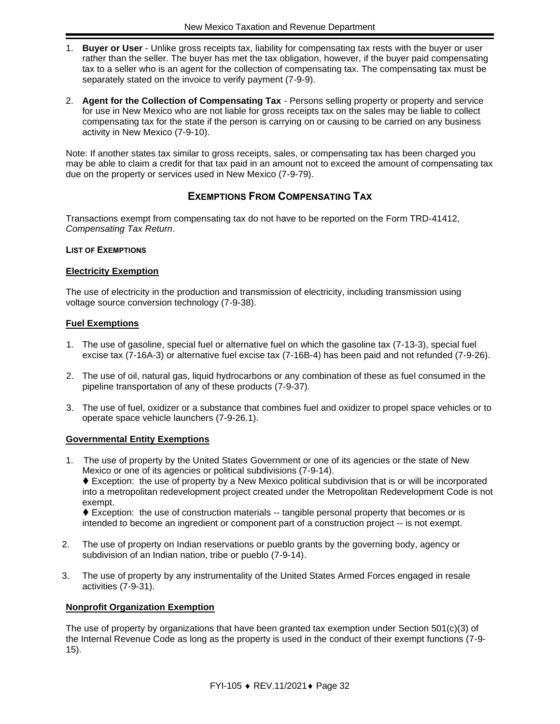- 1. **Buyer or User** Unlike gross receipts tax, liability for compensating tax rests with the buyer or user rather than the seller. The buyer has met the tax obligation, however, if the buyer paid compensating tax to a seller who is an agent for the collection of compensating tax. The compensating tax must be separately stated on the invoice to verify payment (7-9-9).
- 2. **Agent for the Collection of Compensating Tax** Persons selling property or property and service for use in New Mexico who are not liable for gross receipts tax on the sales may be liable to collect compensating tax for the state if the person is carrying on or causing to be carried on any business activity in New Mexico (7-9-10).

Note: If another states tax similar to gross receipts, sales, or compensating tax has been charged you may be able to claim a credit for that tax paid in an amount not to exceed the amount of compensating tax due on the property or services used in New Mexico (7-9-79).

#### **EXEMPTIONS FROM COMPENSATING TAX**

<span id="page-31-0"></span>Transactions exempt from compensating tax do not have to be reported on the Form TRD-41412, *Compensating Tax Return*.

#### **LIST OF EXEMPTIONS**

#### **Electricity Exemption**

The use of electricity in the production and transmission of electricity, including transmission using voltage source conversion technology (7-9-38).

#### **Fuel Exemptions**

- 1. The use of gasoline, special fuel or alternative fuel on which the gasoline tax (7-13-3), special fuel excise tax (7-16A-3) or alternative fuel excise tax (7-16B-4) has been paid and not refunded (7-9-26).
- 2. The use of oil, natural gas, liquid hydrocarbons or any combination of these as fuel consumed in the pipeline transportation of any of these products (7-9-37).
- 3. The use of fuel, oxidizer or a substance that combines fuel and oxidizer to propel space vehicles or to operate space vehicle launchers (7-9-26.1).

#### **Governmental Entity Exemptions**

1. The use of property by the United States Government or one of its agencies or the state of New Mexico or one of its agencies or political subdivisions (7-9-14).

⧫ Exception: the use of property by a New Mexico political subdivision that is or will be incorporated into a metropolitan redevelopment project created under the Metropolitan Redevelopment Code is not exempt.

◆ Exception: the use of construction materials -- tangible personal property that becomes or is intended to become an ingredient or component part of a construction project -- is not exempt.

- 2. The use of property on Indian reservations or pueblo grants by the governing body, agency or subdivision of an Indian nation, tribe or pueblo (7-9-14).
- 3. The use of property by any instrumentality of the United States Armed Forces engaged in resale activities (7-9-31).

#### **Nonprofit Organization Exemption**

The use of property by organizations that have been granted tax exemption under Section 501(c)(3) of the Internal Revenue Code as long as the property is used in the conduct of their exempt functions (7-9- 15).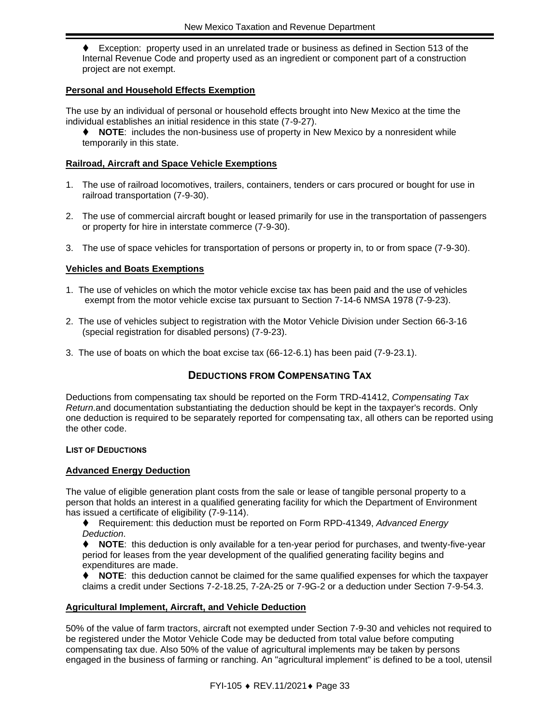⧫ Exception: property used in an unrelated trade or business as defined in Section 513 of the Internal Revenue Code and property used as an ingredient or component part of a construction project are not exempt.

#### **Personal and Household Effects Exemption**

The use by an individual of personal or household effects brought into New Mexico at the time the individual establishes an initial residence in this state (7-9-27).

⧫ **NOTE**: includes the non-business use of property in New Mexico by a nonresident while temporarily in this state.

#### **Railroad, Aircraft and Space Vehicle Exemptions**

- 1. The use of railroad locomotives, trailers, containers, tenders or cars procured or bought for use in railroad transportation (7-9-30).
- 2. The use of commercial aircraft bought or leased primarily for use in the transportation of passengers or property for hire in interstate commerce (7-9-30).
- 3. The use of space vehicles for transportation of persons or property in, to or from space (7-9-30).

#### **Vehicles and Boats Exemptions**

- 1. The use of vehicles on which the motor vehicle excise tax has been paid and the use of vehicles exempt from the motor vehicle excise tax pursuant to Section 7-14-6 NMSA 1978 (7-9-23).
- 2. The use of vehicles subject to registration with the Motor Vehicle Division under Section 66-3-16 (special registration for disabled persons) (7-9-23).
- <span id="page-32-0"></span>3. The use of boats on which the boat excise tax (66-12-6.1) has been paid (7-9-23.1).

#### **DEDUCTIONS FROM COMPENSATING TAX**

Deductions from compensating tax should be reported on the Form TRD-41412, *Compensating Tax Return*.and documentation substantiating the deduction should be kept in the taxpayer's records. Only one deduction is required to be separately reported for compensating tax, all others can be reported using the other code.

#### **LIST OF DEDUCTIONS**

#### **Advanced Energy Deduction**

The value of eligible generation plant costs from the sale or lease of tangible personal property to a person that holds an interest in a qualified generating facility for which the Department of Environment has issued a certificate of eligibility (7-9-114).

⧫ Requirement: this deduction must be reported on Form RPD-41349, *Advanced Energy Deduction*.

NOTE: this deduction is only available for a ten-year period for purchases, and twenty-five-year period for leases from the year development of the qualified generating facility begins and expenditures are made.

**NOTE:** this deduction cannot be claimed for the same qualified expenses for which the taxpayer claims a credit under Sections 7-2-18.25, 7-2A-25 or 7-9G-2 or a deduction under Section 7-9-54.3.

#### **Agricultural Implement, Aircraft, and Vehicle Deduction**

50% of the value of farm tractors, aircraft not exempted under Section 7-9-30 and vehicles not required to be registered under the Motor Vehicle Code may be deducted from total value before computing compensating tax due. Also 50% of the value of agricultural implements may be taken by persons engaged in the business of farming or ranching. An "agricultural implement" is defined to be a tool, utensil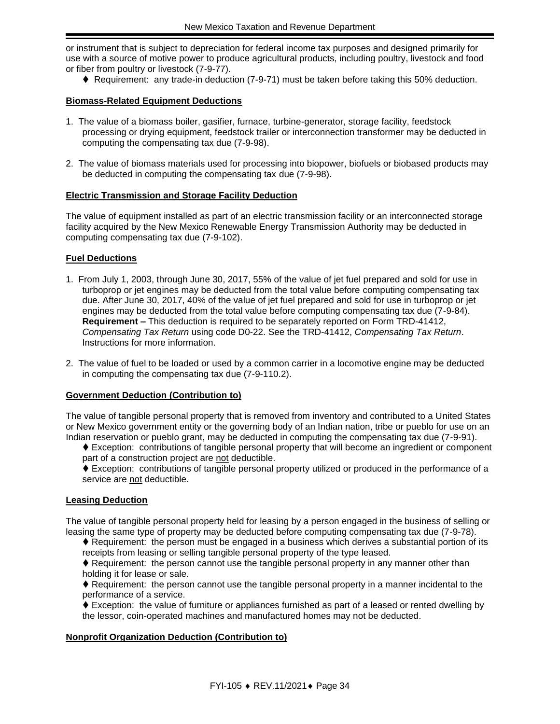or instrument that is subject to depreciation for federal income tax purposes and designed primarily for use with a source of motive power to produce agricultural products, including poultry, livestock and food or fiber from poultry or livestock (7-9-77).

♦ Requirement: any trade-in deduction (7-9-71) must be taken before taking this 50% deduction.

#### **Biomass-Related Equipment Deductions**

- 1. The value of a biomass boiler, gasifier, furnace, turbine-generator, storage facility, feedstock processing or drying equipment, feedstock trailer or interconnection transformer may be deducted in computing the compensating tax due (7-9-98).
- 2. The value of biomass materials used for processing into biopower, biofuels or biobased products may be deducted in computing the compensating tax due (7-9-98).

#### **Electric Transmission and Storage Facility Deduction**

The value of equipment installed as part of an electric transmission facility or an interconnected storage facility acquired by the New Mexico Renewable Energy Transmission Authority may be deducted in computing compensating tax due (7-9-102).

#### **Fuel Deductions**

- 1. From July 1, 2003, through June 30, 2017, 55% of the value of jet fuel prepared and sold for use in turboprop or jet engines may be deducted from the total value before computing compensating tax due. After June 30, 2017, 40% of the value of jet fuel prepared and sold for use in turboprop or jet engines may be deducted from the total value before computing compensating tax due (7-9-84). **Requirement –** This deduction is required to be separately reported on Form TRD-41412, *Compensating Tax Return* using code D0-22. See the TRD-41412, *Compensating Tax Return*. Instructions for more information.
- 2. The value of fuel to be loaded or used by a common carrier in a locomotive engine may be deducted in computing the compensating tax due (7-9-110.2).

#### **Government Deduction (Contribution to)**

The value of tangible personal property that is removed from inventory and contributed to a United States or New Mexico government entity or the governing body of an Indian nation, tribe or pueblo for use on an Indian reservation or pueblo grant, may be deducted in computing the compensating tax due (7-9-91).

- ⧫ Exception: contributions of tangible personal property that will become an ingredient or component part of a construction project are not deductible.
- ⧫ Exception: contributions of tangible personal property utilized or produced in the performance of a service are not deductible.

#### **Leasing Deduction**

The value of tangible personal property held for leasing by a person engaged in the business of selling or leasing the same type of property may be deducted before computing compensating tax due (7-9-78).

- ◆ Requirement: the person must be engaged in a business which derives a substantial portion of its receipts from leasing or selling tangible personal property of the type leased.
- ♦ Requirement: the person cannot use the tangible personal property in any manner other than holding it for lease or sale.
- ♦ Requirement: the person cannot use the tangible personal property in a manner incidental to the performance of a service.
- ♦ Exception: the value of furniture or appliances furnished as part of a leased or rented dwelling by the lessor, coin-operated machines and manufactured homes may not be deducted.

#### **Nonprofit Organization Deduction (Contribution to)**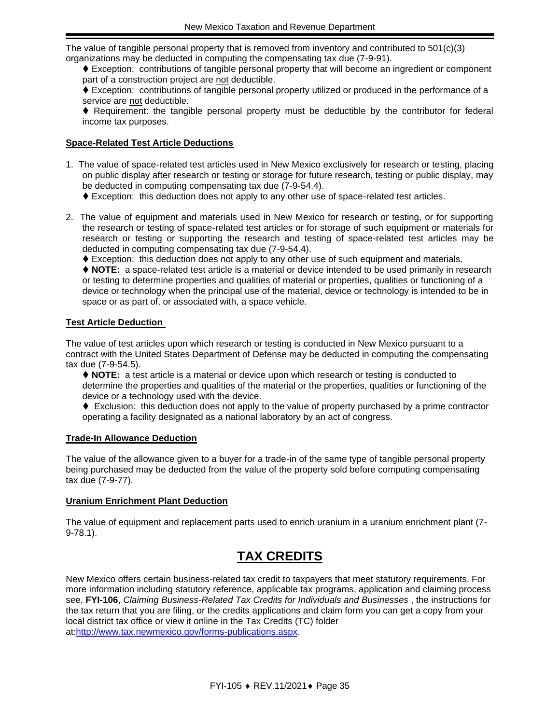The value of tangible personal property that is removed from inventory and contributed to 501(c)(3) organizations may be deducted in computing the compensating tax due (7-9-91).

⧫ Exception: contributions of tangible personal property that will become an ingredient or component part of a construction project are not deductible.

◆ Exception: contributions of tangible personal property utilized or produced in the performance of a service are not deductible.

♦ Requirement: the tangible personal property must be deductible by the contributor for federal income tax purposes.

#### **Space-Related Test Article Deductions**

- 1. The value of space-related test articles used in New Mexico exclusively for research or testing, placing on public display after research or testing or storage for future research, testing or public display, may be deducted in computing compensating tax due (7-9-54.4).
	- ⧫ Exception: this deduction does not apply to any other use of space-related test articles.
- 2. The value of equipment and materials used in New Mexico for research or testing, or for supporting the research or testing of space-related test articles or for storage of such equipment or materials for research or testing or supporting the research and testing of space-related test articles may be deducted in computing compensating tax due (7-9-54.4).
	- ♦ Exception: this deduction does not apply to any other use of such equipment and materials.

⧫ **NOTE:** a space-related test article is a material or device intended to be used primarily in research or testing to determine properties and qualities of material or properties, qualities or functioning of a device or technology when the principal use of the material, device or technology is intended to be in space or as part of, or associated with, a space vehicle.

#### **Test Article Deduction**

The value of test articles upon which research or testing is conducted in New Mexico pursuant to a contract with the United States Department of Defense may be deducted in computing the compensating tax due (7-9-54.5).

⧫ **NOTE:** a test article is a material or device upon which research or testing is conducted to determine the properties and qualities of the material or the properties, qualities or functioning of the device or a technology used with the device.

◆ Exclusion: this deduction does not apply to the value of property purchased by a prime contractor operating a facility designated as a national laboratory by an act of congress.

#### **Trade-In Allowance Deduction**

The value of the allowance given to a buyer for a trade-in of the same type of tangible personal property being purchased may be deducted from the value of the property sold before computing compensating tax due (7-9-77).

#### **Uranium Enrichment Plant Deduction**

The value of equipment and replacement parts used to enrich uranium in a uranium enrichment plant (7- 9-78.1).

## **TAX CREDITS**

<span id="page-34-0"></span>New Mexico offers certain business-related tax credit to taxpayers that meet statutory requirements. For more information including statutory reference, applicable tax programs, application and claiming process see, **FYI-106**, *Claiming Business-Related Tax Credits for Individuals and Businesses* , the instructions for the tax return that you are filing, or the credits applications and claim form you can get a copy from your local district tax office or view it online in the Tax Credits (TC) folder at[:http://www.tax.newmexico.gov/forms-publications.aspx.](http://www.tax.newmexico.gov/forms-publications.aspx)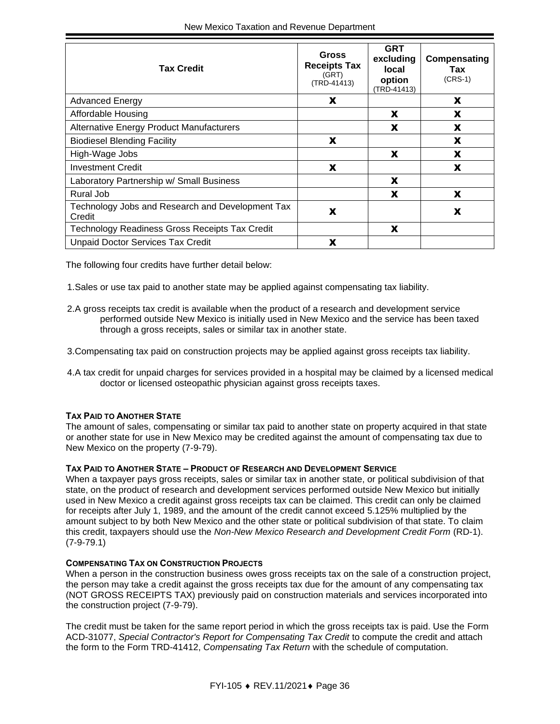| <b>Tax Credit</b>                                          | <b>Gross</b><br><b>Receipts Tax</b><br>(GRT)<br>(TRD-41413) | <b>GRT</b><br>excluding<br><b>local</b><br>option<br>(TRD-41413) | Compensating<br>Tax<br>$(CRS-1)$ |
|------------------------------------------------------------|-------------------------------------------------------------|------------------------------------------------------------------|----------------------------------|
| <b>Advanced Energy</b>                                     | X                                                           |                                                                  | X                                |
| Affordable Housing                                         |                                                             | X                                                                | X                                |
| <b>Alternative Energy Product Manufacturers</b>            |                                                             | X                                                                | X                                |
| <b>Biodiesel Blending Facility</b>                         | X                                                           |                                                                  | X                                |
| High-Wage Jobs                                             |                                                             | X                                                                | X                                |
| <b>Investment Credit</b>                                   | X                                                           |                                                                  | X                                |
| Laboratory Partnership w/ Small Business                   |                                                             | X                                                                |                                  |
| Rural Job                                                  |                                                             | X                                                                | X                                |
| Technology Jobs and Research and Development Tax<br>Credit | X                                                           |                                                                  | X                                |
| Technology Readiness Gross Receipts Tax Credit             |                                                             | X                                                                |                                  |
| <b>Unpaid Doctor Services Tax Credit</b>                   | X                                                           |                                                                  |                                  |

The following four credits have further detail below:

- 1.Sales or use tax paid to another state may be applied against compensating tax liability.
- 2.A gross receipts tax credit is available when the product of a research and development service performed outside New Mexico is initially used in New Mexico and the service has been taxed through a gross receipts, sales or similar tax in another state.
- 3.Compensating tax paid on construction projects may be applied against gross receipts tax liability.
- 4.A tax credit for unpaid charges for services provided in a hospital may be claimed by a licensed medical doctor or licensed osteopathic physician against gross receipts taxes.

#### **TAX PAID TO ANOTHER STATE**

The amount of sales, compensating or similar tax paid to another state on property acquired in that state or another state for use in New Mexico may be credited against the amount of compensating tax due to New Mexico on the property (7-9-79).

#### **TAX PAID TO ANOTHER STATE – PRODUCT OF RESEARCH AND DEVELOPMENT SERVICE**

When a taxpayer pays gross receipts, sales or similar tax in another state, or political subdivision of that state, on the product of research and development services performed outside New Mexico but initially used in New Mexico a credit against gross receipts tax can be claimed. This credit can only be claimed for receipts after July 1, 1989, and the amount of the credit cannot exceed 5.125% multiplied by the amount subject to by both New Mexico and the other state or political subdivision of that state. To claim this credit, taxpayers should use the *Non-New Mexico Research and Development Credit Form* (RD-1). (7-9-79.1)

#### **COMPENSATING TAX ON CONSTRUCTION PROJECTS**

When a person in the construction business owes gross receipts tax on the sale of a construction project, the person may take a credit against the gross receipts tax due for the amount of any compensating tax (NOT GROSS RECEIPTS TAX) previously paid on construction materials and services incorporated into the construction project (7-9-79).

The credit must be taken for the same report period in which the gross receipts tax is paid. Use the Form ACD-31077, *Special Contractor's Report for Compensating Tax Credit* to compute the credit and attach the form to the Form TRD-41412, *Compensating Tax Return* with the schedule of computation.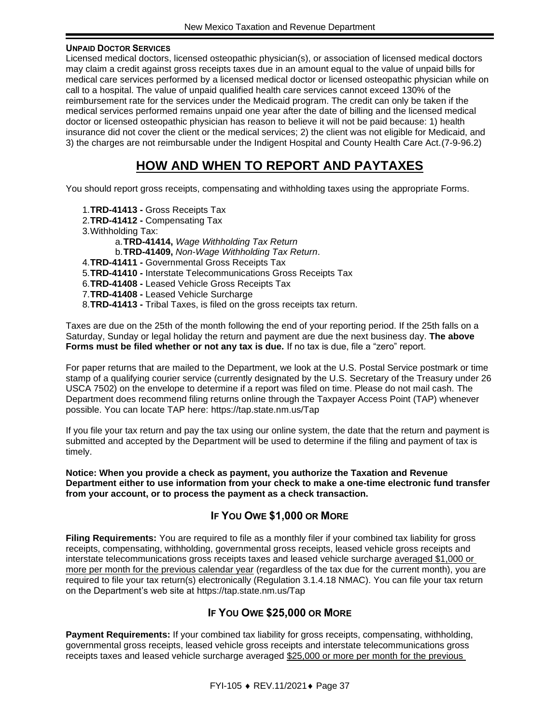#### **UNPAID DOCTOR SERVICES**

Licensed medical doctors, licensed osteopathic physician(s), or association of licensed medical doctors may claim a credit against gross receipts taxes due in an amount equal to the value of unpaid bills for medical care services performed by a licensed medical doctor or licensed osteopathic physician while on call to a hospital. The value of unpaid qualified health care services cannot exceed 130% of the reimbursement rate for the services under the Medicaid program. The credit can only be taken if the medical services performed remains unpaid one year after the date of billing and the licensed medical doctor or licensed osteopathic physician has reason to believe it will not be paid because: 1) health insurance did not cover the client or the medical services; 2) the client was not eligible for Medicaid, and 3) the charges are not reimbursable under the Indigent Hospital and County Health Care Act.(7-9-96.2)

## **HOW AND WHEN TO REPORT AND PAYTAXES**

<span id="page-36-0"></span>You should report gross receipts, compensating and withholding taxes using the appropriate Forms.

1.**TRD-41413 -** Gross Receipts Tax 2.**TRD-41412 -** Compensating Tax 3.Withholding Tax: a.**TRD-41414,** *Wage Withholding Tax Return* b.**TRD-41409,** *Non-Wage Withholding Tax Return*. 4.**TRD-41411 -** Governmental Gross Receipts Tax 5.**TRD-41410 -** Interstate Telecommunications Gross Receipts Tax 6.**TRD-41408 -** Leased Vehicle Gross Receipts Tax 7.**TRD-41408 -** Leased Vehicle Surcharge 8.**TRD-41413 -** Tribal Taxes, is filed on the gross receipts tax return.

Taxes are due on the 25th of the month following the end of your reporting period. If the 25th falls on a Saturday, Sunday or legal holiday the return and payment are due the next business day. **The above Forms must be filed whether or not any tax is due.** If no tax is due, file a "zero" report.

For paper returns that are mailed to the Department, we look at the U.S. Postal Service postmark or time stamp of a qualifying courier service (currently designated by the U.S. Secretary of the Treasury under 26 USCA 7502) on the envelope to determine if a report was filed on time. Please do not mail cash. The Department does recommend filing returns online through the Taxpayer Access Point (TAP) whenever possible. You can locate TAP here: https://tap.state.nm.us/Tap

If you file your tax return and pay the tax using our online system, the date that the return and payment is submitted and accepted by the Department will be used to determine if the filing and payment of tax is timely.

**Notice: When you provide a check as payment, you authorize the Taxation and Revenue Department either to use information from your check to make a one-time electronic fund transfer from your account, or to process the payment as a check transaction.**

#### **IF YOU OWE \$1,000 OR MORE**

<span id="page-36-1"></span>**Filing Requirements:** You are required to file as a monthly filer if your combined tax liability for gross receipts, compensating, withholding, governmental gross receipts, leased vehicle gross receipts and interstate telecommunications gross receipts taxes and leased vehicle surcharge averaged \$1,000 or more per month for the previous calendar year (regardless of the tax due for the current month), you are required to file your tax return(s) electronically (Regulation 3.1.4.18 NMAC). You can file your tax return on the Department's web site at https://tap.state.nm.us/Tap

#### **IF YOU OWE \$25,000 OR MORE**

<span id="page-36-2"></span>**Payment Requirements:** If your combined tax liability for gross receipts, compensating, withholding, governmental gross receipts, leased vehicle gross receipts and interstate telecommunications gross receipts taxes and leased vehicle surcharge averaged \$25,000 or more per month for the previous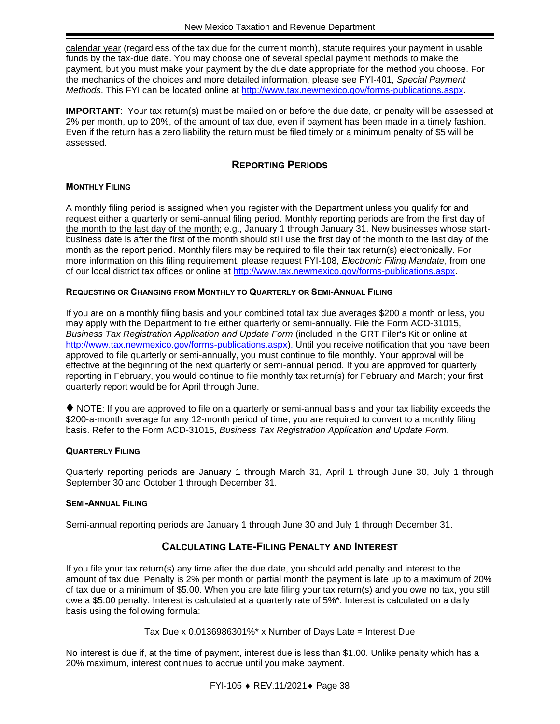calendar year (regardless of the tax due for the current month), statute requires your payment in usable funds by the tax-due date. You may choose one of several special payment methods to make the payment, but you must make your payment by the due date appropriate for the method you choose. For the mechanics of the choices and more detailed information, please see FYI-401, *Special Payment Methods*. This FYI can be located online at [http://www.tax.newmexico.gov/forms-publications.aspx.](http://www.tax.newmexico.gov/forms-publications.aspx)

**IMPORTANT**: Your tax return(s) must be mailed on or before the due date, or penalty will be assessed at 2% per month, up to 20%, of the amount of tax due, even if payment has been made in a timely fashion. Even if the return has a zero liability the return must be filed timely or a minimum penalty of \$5 will be assessed.

#### **REPORTING PERIODS**

#### <span id="page-37-0"></span>**MONTHLY FILING**

A monthly filing period is assigned when you register with the Department unless you qualify for and request either a quarterly or semi-annual filing period. Monthly reporting periods are from the first day of the month to the last day of the month; e.g., January 1 through January 31. New businesses whose startbusiness date is after the first of the month should still use the first day of the month to the last day of the month as the report period. Monthly filers may be required to file their tax return(s) electronically. For more information on this filing requirement, please request FYI-108, *Electronic Filing Mandate*, from one of our local district tax offices or online at [http://www.tax.newmexico.gov/forms-publications.aspx.](http://www.tax.newmexico.gov/forms-publications.aspx)

#### **REQUESTING OR CHANGING FROM MONTHLY TO QUARTERLY OR SEMI-ANNUAL FILING**

If you are on a monthly filing basis and your combined total tax due averages \$200 a month or less, you may apply with the Department to file either quarterly or semi-annually. File the Form ACD-31015, *Business Tax Registration Application and Update Form* (included in the GRT Filer's Kit or online at http://www.tax.newmexico.gov/forms-publications.aspx). Until you receive notification that you have been approved to file quarterly or semi-annually, you must continue to file monthly. Your approval will be effective at the beginning of the next quarterly or semi-annual period. If you are approved for quarterly reporting in February, you would continue to file monthly tax return(s) for February and March; your first quarterly report would be for April through June.

◆ NOTE: If you are approved to file on a quarterly or semi-annual basis and your tax liability exceeds the \$200-a-month average for any 12-month period of time, you are required to convert to a monthly filing basis. Refer to the Form ACD-31015, *Business Tax Registration Application and Update Form*.

#### **QUARTERLY FILING**

Quarterly reporting periods are January 1 through March 31, April 1 through June 30, July 1 through September 30 and October 1 through December 31.

#### **SEMI-ANNUAL FILING**

<span id="page-37-1"></span>Semi-annual reporting periods are January 1 through June 30 and July 1 through December 31.

#### **CALCULATING LATE-FILING PENALTY AND INTEREST**

If you file your tax return(s) any time after the due date, you should add penalty and interest to the amount of tax due. Penalty is 2% per month or partial month the payment is late up to a maximum of 20% of tax due or a minimum of \$5.00. When you are late filing your tax return(s) and you owe no tax, you still owe a \$5.00 penalty. Interest is calculated at a quarterly rate of 5%\*. Interest is calculated on a daily basis using the following formula:

Tax Due x 0.0136986301%\* x Number of Days Late = Interest Due

No interest is due if, at the time of payment, interest due is less than \$1.00. Unlike penalty which has a 20% maximum, interest continues to accrue until you make payment.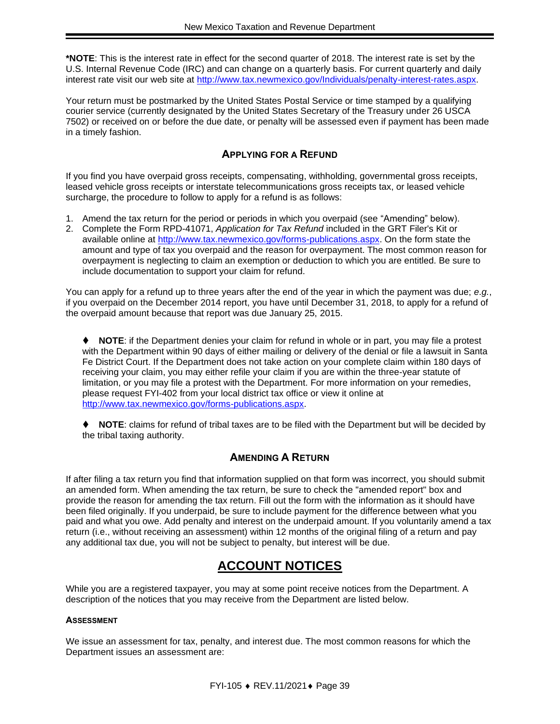**\*NOTE**: This is the interest rate in effect for the second quarter of 2018. The interest rate is set by the U.S. Internal Revenue Code (IRC) and can change on a quarterly basis. For current quarterly and daily interest rate visit our web site at [http://www.tax.newmexico.gov/Individuals/penalty-interest-rates.aspx.](http://www.tax.newmexico.gov/Individuals/penalty-interest-rates.aspx)

Your return must be postmarked by the United States Postal Service or time stamped by a qualifying courier service (currently designated by the United States Secretary of the Treasury under 26 USCA 7502) or received on or before the due date, or penalty will be assessed even if payment has been made in a timely fashion.

#### **APPLYING FOR A REFUND**

<span id="page-38-0"></span>If you find you have overpaid gross receipts, compensating, withholding, governmental gross receipts, leased vehicle gross receipts or interstate telecommunications gross receipts tax, or leased vehicle surcharge, the procedure to follow to apply for a refund is as follows:

- 1. Amend the tax return for the period or periods in which you overpaid (see "Amending" below).
- 2. Complete the Form RPD-41071, *Application for Tax Refund* included in the GRT Filer's Kit or available online at http://www.tax.newmexico.gov/forms-publications.aspx. On the form state the amount and type of tax you overpaid and the reason for overpayment. The most common reason for overpayment is neglecting to claim an exemption or deduction to which you are entitled. Be sure to include documentation to support your claim for refund.

You can apply for a refund up to three years after the end of the year in which the payment was due; *e*.*g.*, if you overpaid on the December 2014 report, you have until December 31, 2018, to apply for a refund of the overpaid amount because that report was due January 25, 2015.

⧫ **NOTE**: if the Department denies your claim for refund in whole or in part, you may file a protest with the Department within 90 days of either mailing or delivery of the denial or file a lawsuit in Santa Fe District Court. If the Department does not take action on your complete claim within 180 days of receiving your claim, you may either refile your claim if you are within the three-year statute of limitation, or you may file a protest with the Department. For more information on your remedies, please request FYI-402 from your local district tax office or view it online at http://www.tax.newmexico.gov/forms-publications.aspx.

⧫ **NOTE**: claims for refund of tribal taxes are to be filed with the Department but will be decided by the tribal taxing authority.

#### **AMENDING A RETURN**

<span id="page-38-1"></span>If after filing a tax return you find that information supplied on that form was incorrect, you should submit an amended form. When amending the tax return, be sure to check the "amended report" box and provide the reason for amending the tax return. Fill out the form with the information as it should have been filed originally. If you underpaid, be sure to include payment for the difference between what you paid and what you owe. Add penalty and interest on the underpaid amount. If you voluntarily amend a tax return (i.e., without receiving an assessment) within 12 months of the original filing of a return and pay any additional tax due, you will not be subject to penalty, but interest will be due.

## **ACCOUNT NOTICES**

<span id="page-38-2"></span>While you are a registered taxpayer, you may at some point receive notices from the Department. A description of the notices that you may receive from the Department are listed below.

#### **ASSESSMENT**

We issue an assessment for tax, penalty, and interest due. The most common reasons for which the Department issues an assessment are: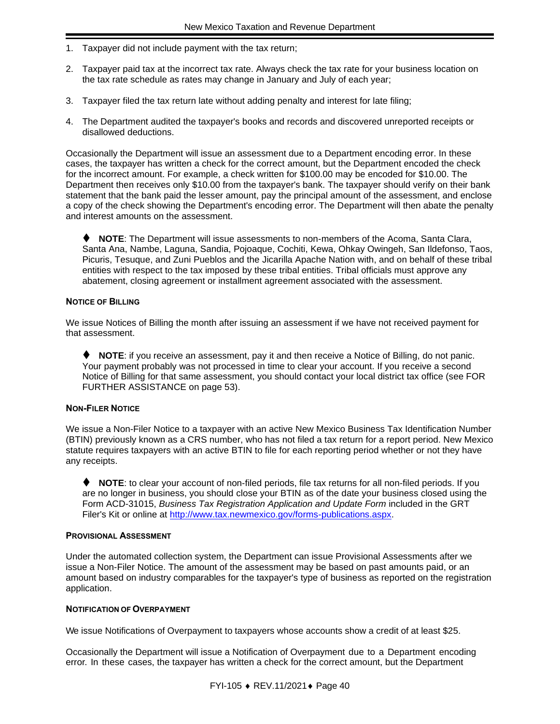- 1. Taxpayer did not include payment with the tax return;
- 2. Taxpayer paid tax at the incorrect tax rate. Always check the tax rate for your business location on the tax rate schedule as rates may change in January and July of each year;
- 3. Taxpayer filed the tax return late without adding penalty and interest for late filing;
- 4. The Department audited the taxpayer's books and records and discovered unreported receipts or disallowed deductions.

Occasionally the Department will issue an assessment due to a Department encoding error. In these cases, the taxpayer has written a check for the correct amount, but the Department encoded the check for the incorrect amount. For example, a check written for \$100.00 may be encoded for \$10.00. The Department then receives only \$10.00 from the taxpayer's bank. The taxpayer should verify on their bank statement that the bank paid the lesser amount, pay the principal amount of the assessment, and enclose a copy of the check showing the Department's encoding error. The Department will then abate the penalty and interest amounts on the assessment.

⧫ **NOTE**: The Department will issue assessments to non-members of the Acoma, Santa Clara, Santa Ana, Nambe, Laguna, Sandia, Pojoaque, Cochiti, Kewa, Ohkay Owingeh, San Ildefonso, Taos, Picuris, Tesuque, and Zuni Pueblos and the Jicarilla Apache Nation with, and on behalf of these tribal entities with respect to the tax imposed by these tribal entities. Tribal officials must approve any abatement, closing agreement or installment agreement associated with the assessment.

#### **NOTICE OF BILLING**

We issue Notices of Billing the month after issuing an assessment if we have not received payment for that assessment.

⧫ **NOTE**: if you receive an assessment, pay it and then receive a Notice of Billing, do not panic. Your payment probably was not processed in time to clear your account. If you receive a second Notice of Billing for that same assessment, you should contact your local district tax office (see FOR FURTHER ASSISTANCE on page 53).

#### **NON-FILER NOTICE**

We issue a Non-Filer Notice to a taxpayer with an active New Mexico Business Tax Identification Number (BTIN) previously known as a CRS number, who has not filed a tax return for a report period. New Mexico statute requires taxpayers with an active BTIN to file for each reporting period whether or not they have any receipts.

⧫ **NOTE**: to clear your account of non-filed periods, file tax returns for all non-filed periods. If you are no longer in business, you should close your BTIN as of the date your business closed using the Form ACD-31015, *Business Tax Registration Application and Update Form* included in the GRT Filer's Kit or online at http://www.tax.newmexico.gov/forms-publications.aspx.

#### **PROVISIONAL ASSESSMENT**

Under the automated collection system, the Department can issue Provisional Assessments after we issue a Non-Filer Notice. The amount of the assessment may be based on past amounts paid, or an amount based on industry comparables for the taxpayer's type of business as reported on the registration application.

#### **NOTIFICATION OF OVERPAYMENT**

We issue Notifications of Overpayment to taxpayers whose accounts show a credit of at least \$25.

Occasionally the Department will issue a Notification of Overpayment due to a Department encoding error. In these cases, the taxpayer has written a check for the correct amount, but the Department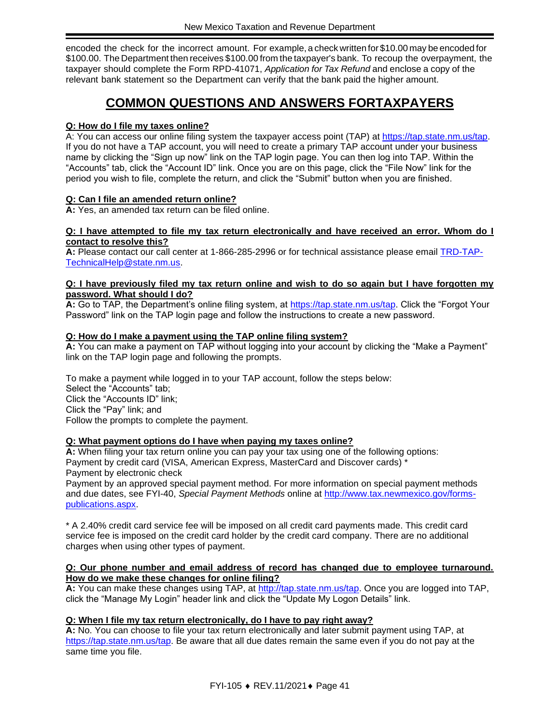encoded the check for the incorrect amount. For example, a check written for \$10.00 may be encoded for \$100.00. The Department then receives \$100.00 from the taxpayer's bank. To recoup the overpayment, the taxpayer should complete the Form RPD-41071, *Application for Tax Refund* and enclose a copy of the relevant bank statement so the Department can verify that the bank paid the higher amount.

## **COMMON QUESTIONS AND ANSWERS FORTAXPAYERS**

#### <span id="page-40-0"></span>**Q: How do I file my taxes online?**

A: You can access our online filing system the taxpayer access point (TAP) at [https://tap.state.nm.us/tap.](https://tap.state.nm.us/tap) If you do not have a TAP account, you will need to create a primary TAP account under your business name by clicking the "Sign up now" link on the TAP login page. You can then log into TAP. Within the "Accounts" tab, click the "Account ID" link. Once you are on this page, click the "File Now" link for the period you wish to file, complete the return, and click the "Submit" button when you are finished.

#### **Q: Can I file an amended return online?**

**A:** Yes, an amended tax return can be filed online.

#### **Q: I have attempted to file my tax return electronically and have received an error. Whom do I contact to resolve this?**

**A:** Please contact our call center at 1-866-285-2996 or for technical assistance please email [TRD-TAP-](mailto:TRD-TAP-TechnicalHelp@state.nm.us)[TechnicalHelp@state.nm.us.](mailto:TRD-TAP-TechnicalHelp@state.nm.us)

#### **Q: I have previously filed my tax return online and wish to do so again but I have forgotten my password. What should I do?**

**A:** Go to TAP, the Department's online filing system, at [https://tap.state.nm.us/tap.](https://tap.state.nm.us/tap) Click the "Forgot Your Password" link on the TAP login page and follow the instructions to create a new password.

#### **Q: How do I make a payment using the TAP online filing system?**

**A:** You can make a payment on TAP without logging into your account by clicking the "Make a Payment" link on the TAP login page and following the prompts.

To make a payment while logged in to your TAP account, follow the steps below: Select the "Accounts" tab; Click the "Accounts ID" link; Click the "Pay" link; and Follow the prompts to complete the payment.

#### **Q: What payment options do I have when paying my taxes online?**

**A:** When filing your tax return online you can pay your tax using one of the following options: Payment by credit card (VISA, American Express, MasterCard and Discover cards) \* Payment by electronic check

Payment by an approved special payment method. For more information on special payment methods and due dates, see FYI-40, *Special Payment Methods* online at [http://www.tax.newmexico.gov/forms](http://www.tax.newmexico.gov/forms-publications.aspx)[publications.aspx.](http://www.tax.newmexico.gov/forms-publications.aspx)

\* A 2.40% credit card service fee will be imposed on all credit card payments made. This credit card service fee is imposed on the credit card holder by the credit card company. There are no additional charges when using other types of payment.

#### **Q: Our phone number and email address of record has changed due to employee turnaround. How do we make these changes for online filing?**

**A:** You can make these changes using TAP, at [http://tap.state.nm.us/tap.](http://tap.state.nm.us/tap) Once you are logged into TAP, click the "Manage My Login" header link and click the "Update My Logon Details" link.

#### **Q: When I file my tax return electronically, do I have to pay right away?**

**A:** No. You can choose to file your tax return electronically and later submit payment using TAP, at [https://tap.state.nm.us/tap.](https://tap.state.nm.us/tap) Be aware that all due dates remain the same even if you do not pay at the same time you file.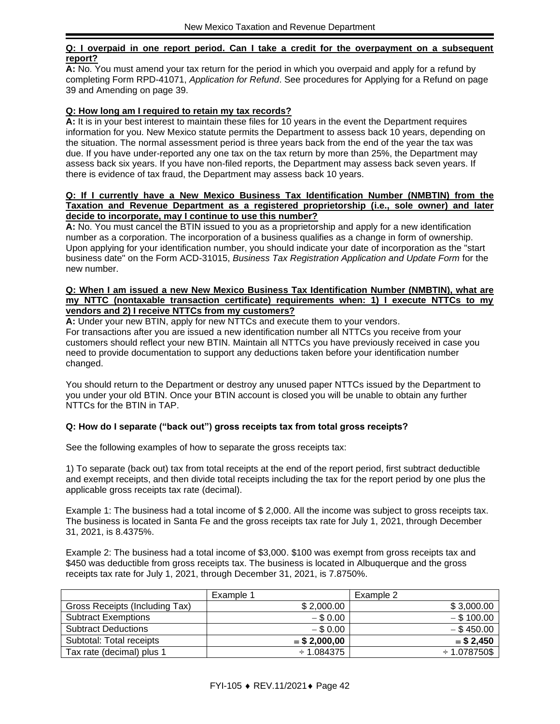#### **Q: I overpaid in one report period. Can I take a credit for the overpayment on a subsequent report?**

**A:** No. You must amend your tax return for the period in which you overpaid and apply for a refund by completing Form RPD-41071, *Application for Refund*. See procedures for [Applying for a Refund](#page-38-0) on page [39](#page-38-0) and Amending on page [39.](#page-38-1)

#### **Q: How long am I required to retain my tax records?**

**A:** It is in your best interest to maintain these files for 10 years in the event the Department requires information for you. New Mexico statute permits the Department to assess back 10 years, depending on the situation. The normal assessment period is three years back from the end of the year the tax was due. If you have under-reported any one tax on the tax return by more than 25%, the Department may assess back six years. If you have non-filed reports, the Department may assess back seven years. If there is evidence of tax fraud, the Department may assess back 10 years.

#### **Q: If I currently have a New Mexico Business Tax Identification Number (NMBTIN) from the Taxation and Revenue Department as a registered proprietorship (i.e., sole owner) and later decide to incorporate, may I continue to use this number?**

**A:** No. You must cancel the BTIN issued to you as a proprietorship and apply for a new identification number as a corporation. The incorporation of a business qualifies as a change in form of ownership. Upon applying for your identification number, you should indicate your date of incorporation as the "start business date" on the Form ACD-31015, *Business Tax Registration Application and Update Form* for the new number.

#### **Q: When I am issued a new New Mexico Business Tax Identification Number (NMBTIN), what are my NTTC (nontaxable transaction certificate) requirements when: 1) I execute NTTCs to my vendors and 2) I receive NTTCs from my customers?**

**A:** Under your new BTIN, apply for new NTTCs and execute them to your vendors. For transactions after you are issued a new identification number all NTTCs you receive from your customers should reflect your new BTIN. Maintain all NTTCs you have previously received in case you need to provide documentation to support any deductions taken before your identification number changed.

You should return to the Department or destroy any unused paper NTTCs issued by the Department to you under your old BTIN. Once your BTIN account is closed you will be unable to obtain any further NTTCs for the BTIN in TAP.

#### **Q: How do I separate ("back out") gross receipts tax from total gross receipts?**

See the following examples of how to separate the gross receipts tax:

1) To separate (back out) tax from total receipts at the end of the report period, first subtract deductible and exempt receipts, and then divide total receipts including the tax for the report period by one plus the applicable gross receipts tax rate (decimal).

Example 1: The business had a total income of \$ 2,000. All the income was subject to gross receipts tax. The business is located in Santa Fe and the gross receipts tax rate for July 1, 2021, through December 31, 2021, is 8.4375%.

Example 2: The business had a total income of \$3,000. \$100 was exempt from gross receipts tax and \$450 was deductible from gross receipts tax. The business is located in Albuquerque and the gross receipts tax rate for July 1, 2021, through December 31, 2021, is 7.8750%.

|                                | Example 1       | Example 2         |
|--------------------------------|-----------------|-------------------|
| Gross Receipts (Including Tax) | \$2,000.00      | \$3,000.00        |
| <b>Subtract Exemptions</b>     | $-$ \$ 0.00     | $-$ \$ 100.00     |
| <b>Subtract Deductions</b>     | $-$ \$ 0.00     | $-$ \$ 450.00     |
| Subtotal: Total receipts       | $=$ \$ 2,000,00 | $= $2,450$        |
| Tax rate (decimal) plus 1      | $-1.084375$     | $\div$ 1.078750\$ |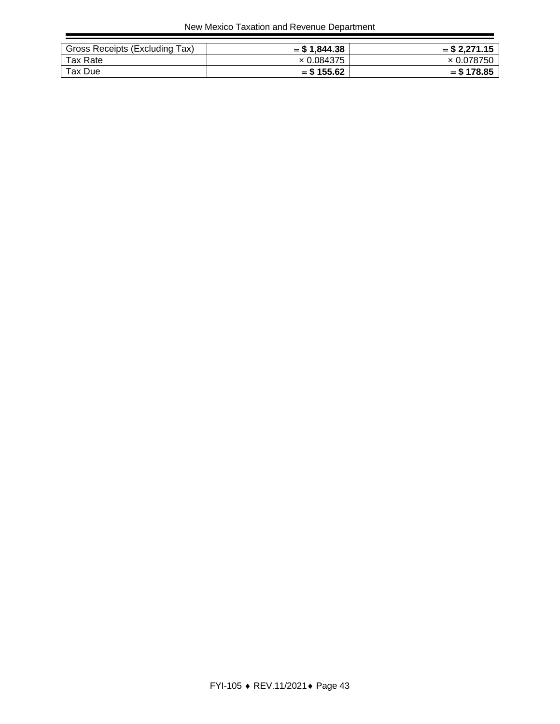| Gross Receipts (Excluding Tax) | $=$ \$1,844.38    | $=$ \$ 2.271.15   |
|--------------------------------|-------------------|-------------------|
| Tax Rate                       | $\times$ 0.084375 | $\times$ 0.078750 |
| Tax Due                        | $=$ \$ 155.62     | $=$ \$178.85      |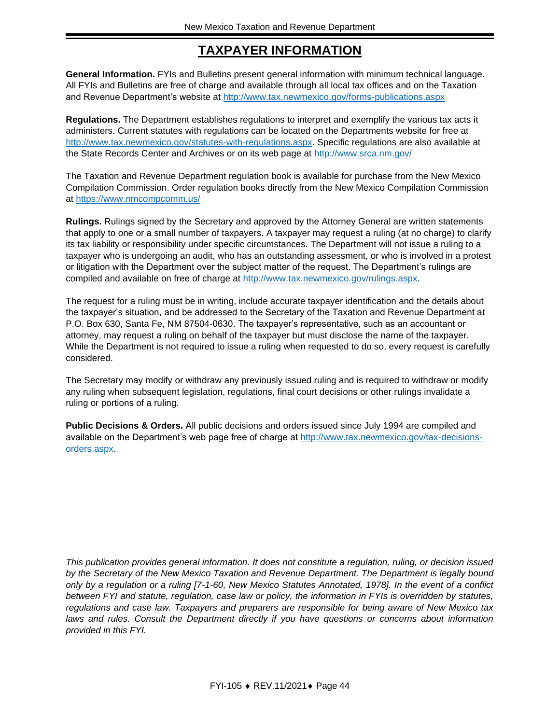## **TAXPAYER INFORMATION**

<span id="page-43-0"></span>**General Information.** FYIs and Bulletins present general information with minimum technical language. All FYIs and Bulletins are free of charge and available through all local tax offices and on the Taxation and Revenue Department's website at<http://www.tax.newmexico.gov/forms-publications.aspx>

**Regulations.** The Department establishes regulations to interpret and exemplify the various tax acts it administers. Current statutes with regulations can be located on the Departments website for free at [http://www.tax.newmexico.gov/statutes-with-regulations.aspx.](http://www.tax.newmexico.gov/statutes-with-regulations.aspx) Specific regulations are also available at the State Records Center and Archives or on its web page at<http://www.srca.nm.gov/>

The Taxation and Revenue Department regulation book is available for purchase from the New Mexico Compilation Commission. Order regulation books directly from the New Mexico Compilation Commission at<https://www.nmcompcomm.us/>

**Rulings.** Rulings signed by the Secretary and approved by the Attorney General are written statements that apply to one or a small number of taxpayers. A taxpayer may request a ruling (at no charge) to clarify its tax liability or responsibility under specific circumstances. The Department will not issue a ruling to a taxpayer who is undergoing an audit, who has an outstanding assessment, or who is involved in a protest or litigation with the Department over the subject matter of the request. The Department's rulings are compiled and available on free of charge at [http://www.tax.newmexico.gov/rulings.aspx.](http://www.tax.newmexico.gov/rulings.aspx)

The request for a ruling must be in writing, include accurate taxpayer identification and the details about the taxpayer's situation, and be addressed to the Secretary of the Taxation and Revenue Department at P.O. Box 630, Santa Fe, NM 87504-0630. The taxpayer's representative, such as an accountant or attorney, may request a ruling on behalf of the taxpayer but must disclose the name of the taxpayer. While the Department is not required to issue a ruling when requested to do so, every request is carefully considered.

The Secretary may modify or withdraw any previously issued ruling and is required to withdraw or modify any ruling when subsequent legislation, regulations, final court decisions or other rulings invalidate a ruling or portions of a ruling.

**Public Decisions & Orders.** All public decisions and orders issued since July 1994 are compiled and available on the Department's web page free of charge at [http://www.tax.newmexico.gov/tax-decisions](http://www.tax.newmexico.gov/tax-decisions-orders.aspx)[orders.aspx.](http://www.tax.newmexico.gov/tax-decisions-orders.aspx)

*This publication provides general information. It does not constitute a regulation, ruling, or decision issued by the Secretary of the New Mexico Taxation and Revenue Department. The Department is legally bound only by a regulation or a ruling [7-1-60, New Mexico Statutes Annotated, 1978]. In the event of a conflict between FYI and statute, regulation, case law or policy, the information in FYIs is overridden by statutes, regulations and case law. Taxpayers and preparers are responsible for being aware of New Mexico tax*  laws and rules. Consult the Department directly if you have questions or concerns about information *provided in this FYI.*